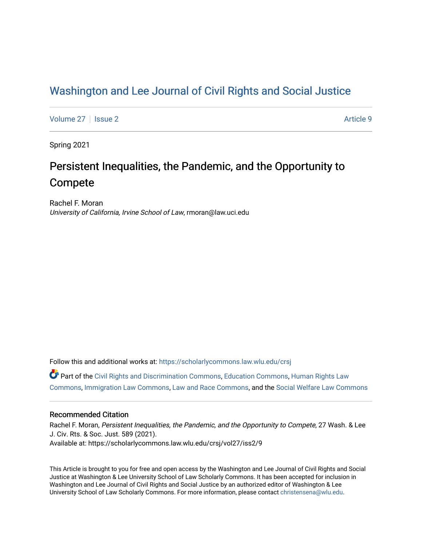## [Washington and Lee Journal of Civil Rights and Social Justice](https://scholarlycommons.law.wlu.edu/crsj)

[Volume 27](https://scholarlycommons.law.wlu.edu/crsj/vol27) | [Issue 2](https://scholarlycommons.law.wlu.edu/crsj/vol27/iss2) Article 9

Spring 2021

# Persistent Inequalities, the Pandemic, and the Opportunity to Compete

Rachel F. Moran University of California, Irvine School of Law, rmoran@law.uci.edu

Follow this and additional works at: [https://scholarlycommons.law.wlu.edu/crsj](https://scholarlycommons.law.wlu.edu/crsj?utm_source=scholarlycommons.law.wlu.edu%2Fcrsj%2Fvol27%2Fiss2%2F9&utm_medium=PDF&utm_campaign=PDFCoverPages) 

Part of the [Civil Rights and Discrimination Commons,](http://network.bepress.com/hgg/discipline/585?utm_source=scholarlycommons.law.wlu.edu%2Fcrsj%2Fvol27%2Fiss2%2F9&utm_medium=PDF&utm_campaign=PDFCoverPages) [Education Commons](http://network.bepress.com/hgg/discipline/784?utm_source=scholarlycommons.law.wlu.edu%2Fcrsj%2Fvol27%2Fiss2%2F9&utm_medium=PDF&utm_campaign=PDFCoverPages), [Human Rights Law](http://network.bepress.com/hgg/discipline/847?utm_source=scholarlycommons.law.wlu.edu%2Fcrsj%2Fvol27%2Fiss2%2F9&utm_medium=PDF&utm_campaign=PDFCoverPages) [Commons](http://network.bepress.com/hgg/discipline/847?utm_source=scholarlycommons.law.wlu.edu%2Fcrsj%2Fvol27%2Fiss2%2F9&utm_medium=PDF&utm_campaign=PDFCoverPages), [Immigration Law Commons,](http://network.bepress.com/hgg/discipline/604?utm_source=scholarlycommons.law.wlu.edu%2Fcrsj%2Fvol27%2Fiss2%2F9&utm_medium=PDF&utm_campaign=PDFCoverPages) [Law and Race Commons,](http://network.bepress.com/hgg/discipline/1300?utm_source=scholarlycommons.law.wlu.edu%2Fcrsj%2Fvol27%2Fiss2%2F9&utm_medium=PDF&utm_campaign=PDFCoverPages) and the [Social Welfare Law Commons](http://network.bepress.com/hgg/discipline/878?utm_source=scholarlycommons.law.wlu.edu%2Fcrsj%2Fvol27%2Fiss2%2F9&utm_medium=PDF&utm_campaign=PDFCoverPages) 

## Recommended Citation

Rachel F. Moran, Persistent Inequalities, the Pandemic, and the Opportunity to Compete, 27 Wash. & Lee J. Civ. Rts. & Soc. Just. 589 (2021). Available at: https://scholarlycommons.law.wlu.edu/crsj/vol27/iss2/9

This Article is brought to you for free and open access by the Washington and Lee Journal of Civil Rights and Social Justice at Washington & Lee University School of Law Scholarly Commons. It has been accepted for inclusion in Washington and Lee Journal of Civil Rights and Social Justice by an authorized editor of Washington & Lee University School of Law Scholarly Commons. For more information, please contact [christensena@wlu.edu.](mailto:christensena@wlu.edu)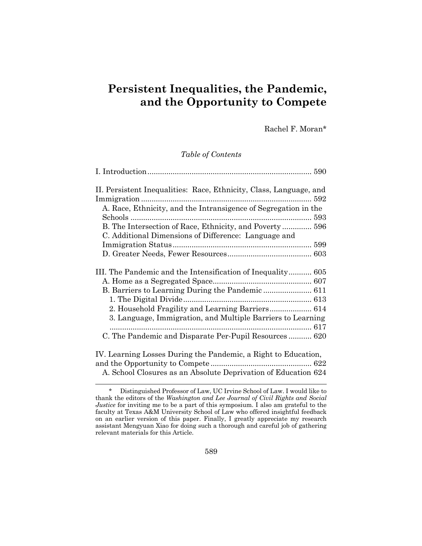## **Persistent Inequalities, the Pandemic, and the Opportunity to Compete**

Rachel F. Moran\*

#### *Table of Contents*

| II. Persistent Inequalities: Race, Ethnicity, Class, Language, and |  |
|--------------------------------------------------------------------|--|
|                                                                    |  |
| A. Race, Ethnicity, and the Intransigence of Segregation in the    |  |
|                                                                    |  |
| B. The Intersection of Race, Ethnicity, and Poverty 596            |  |
| C. Additional Dimensions of Difference: Language and               |  |
|                                                                    |  |
|                                                                    |  |
| III. The Pandemic and the Intensification of Inequality 605        |  |
|                                                                    |  |
| B. Barriers to Learning During the Pandemic  611                   |  |
|                                                                    |  |
| 2. Household Fragility and Learning Barriers 614                   |  |
| 3. Language, Immigration, and Multiple Barriers to Learning        |  |
|                                                                    |  |
| C. The Pandemic and Disparate Per-Pupil Resources 620              |  |
| IV. Learning Losses During the Pandemic, a Right to Education,     |  |
|                                                                    |  |
|                                                                    |  |
| A. School Closures as an Absolute Deprivation of Education 624     |  |

<sup>\*</sup> Distinguished Professor of Law, UC Irvine School of Law. I would like to thank the editors of the *Washington and Lee Journal of Civil Rights and Social Justice* for inviting me to be a part of this symposium. I also am grateful to the faculty at Texas A&M University School of Law who offered insightful feedback on an earlier version of this paper. Finally, I greatly appreciate my research assistant Mengyuan Xiao for doing such a thorough and careful job of gathering relevant materials for this Article.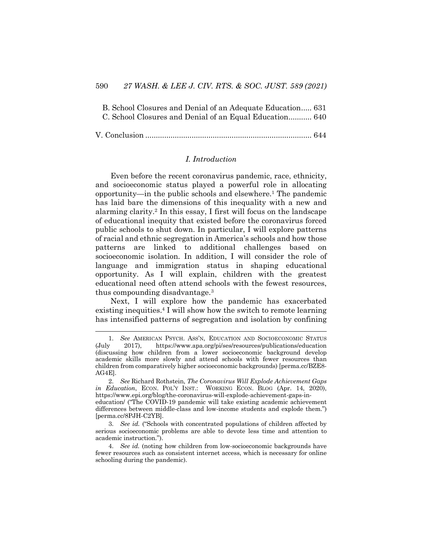| B. School Closures and Denial of an Adequate Education 631 |  |
|------------------------------------------------------------|--|
| C. School Closures and Denial of an Equal Education 640    |  |
|                                                            |  |

|--|--|--|--|

## *I. Introduction*

Even before the recent coronavirus pandemic, race, ethnicity, and socioeconomic status played a powerful role in allocating opportunity—in the public schools and elsewhere.1 The pandemic has laid bare the dimensions of this inequality with a new and alarming clarity.2 In this essay, I first will focus on the landscape of educational inequity that existed before the coronavirus forced public schools to shut down. In particular, I will explore patterns of racial and ethnic segregation in America's schools and how those patterns are linked to additional challenges based on socioeconomic isolation. In addition, I will consider the role of language and immigration status in shaping educational opportunity. As I will explain, children with the greatest educational need often attend schools with the fewest resources, thus compounding disadvantage.3

Next, I will explore how the pandemic has exacerbated existing inequities.4 I will show how the switch to remote learning has intensified patterns of segregation and isolation by confining

<sup>1.</sup> *See* AMERICAN PSYCH. ASS'N, EDUCATION AND SOCIOECONOMIC STATUS (July 2017), https://www.apa.org/pi/ses/resources/publications/education (discussing how children from a lower socioeconomic background develop academic skills more slowly and attend schools with fewer resources than children from comparatively higher socioeconomic backgrounds) [perma.cc/BZE8- AG4E].

<sup>2.</sup> *See* Richard Rothstein, *The Coronavirus Will Explode Achievement Gaps in Education*, ECON. POL'Y INST.: WORKING ECON. BLOG (Apr. 14, 2020), https://www.epi.org/blog/the-coronavirus-will-explode-achievement-gaps-ineducation/ ("The COVID-19 pandemic will take existing academic achievement differences between middle-class and low-income students and explode them.") [perma.cc/8PJH-C2YB].

<sup>3.</sup> *See id.* ("Schools with concentrated populations of children affected by serious socioeconomic problems are able to devote less time and attention to academic instruction.").

<sup>4.</sup> *See id.* (noting how children from low-socioeconomic backgrounds have fewer resources such as consistent internet access, which is necessary for online schooling during the pandemic).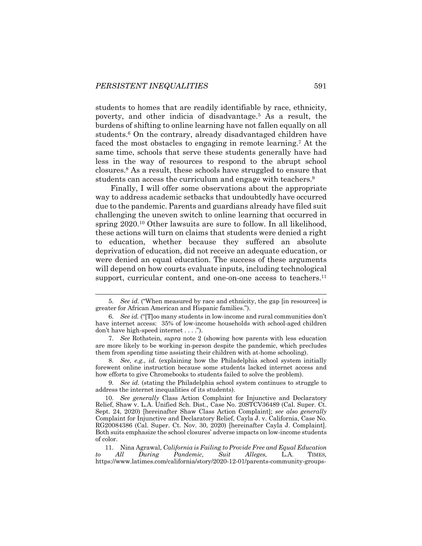students to homes that are readily identifiable by race, ethnicity, poverty, and other indicia of disadvantage.5 As a result, the burdens of shifting to online learning have not fallen equally on all students.<sup>6</sup> On the contrary, already disadvantaged children have faced the most obstacles to engaging in remote learning.7 At the same time, schools that serve these students generally have had less in the way of resources to respond to the abrupt school closures.8 As a result, these schools have struggled to ensure that students can access the curriculum and engage with teachers.<sup>9</sup>

Finally, I will offer some observations about the appropriate way to address academic setbacks that undoubtedly have occurred due to the pandemic. Parents and guardians already have filed suit challenging the uneven switch to online learning that occurred in spring 2020.<sup>10</sup> Other lawsuits are sure to follow. In all likelihood, these actions will turn on claims that students were denied a right to education, whether because they suffered an absolute deprivation of education, did not receive an adequate education, or were denied an equal education. The success of these arguments will depend on how courts evaluate inputs, including technological support, curricular content, and one-on-one access to teachers.<sup>11</sup>

8. *See, e.g., id.* (explaining how the Philadelphia school system initially forewent online instruction because some students lacked internet access and how efforts to give Chromebooks to students failed to solve the problem).

9. *See id.* (stating the Philadelphia school system continues to struggle to address the internet inequalities of its students).

<sup>5.</sup> *See id.* ("When measured by race and ethnicity, the gap [in resources] is greater for African American and Hispanic families.").

<sup>6.</sup> *See id.* ("[T]oo many students in low-income and rural communities don't have internet access: 35% of low-income households with school-aged children don't have high-speed internet . . . .").

<sup>7.</sup> *See* Rothstein, *supra* note 2 (showing how parents with less education are more likely to be working in-person despite the pandemic, which precludes them from spending time assisting their children with at-home schooling).

<sup>10.</sup> *See generally* Class Action Complaint for Injunctive and Declaratory Relief, Shaw v. L.A. Unified Sch. Dist., Case No. 20STCV36489 (Cal. Super. Ct. Sept. 24, 2020) [hereinafter Shaw Class Action Complaint]; *see also generally*  Complaint for Injunctive and Declaratory Relief, Cayla J. v. California, Case No. RG20084386 (Cal. Super. Ct. Nov. 30, 2020) [hereinafter Cayla J. Complaint]. Both suits emphasize the school closures' adverse impacts on low-income students of color.

<sup>11.</sup> Nina Agrawal, *California is Failing to Provide Free and Equal Education to All During Pandemic, Suit Alleges,* L.A. TIMES*,*  https://www.latimes.com/california/story/2020-12-01/parents-community-groups-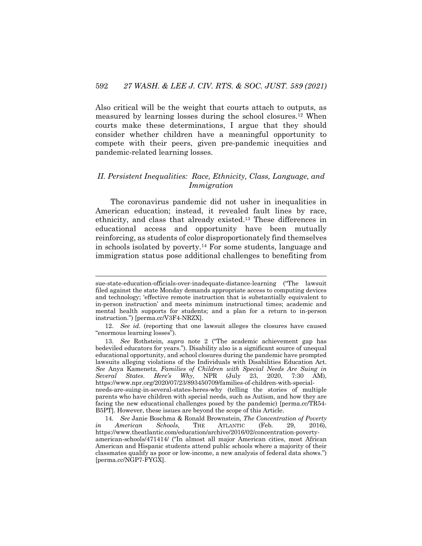Also critical will be the weight that courts attach to outputs, as measured by learning losses during the school closures.12 When courts make these determinations, I argue that they should consider whether children have a meaningful opportunity to compete with their peers, given pre-pandemic inequities and pandemic-related learning losses.

## *II. Persistent Inequalities: Race, Ethnicity, Class, Language, and Immigration*

The coronavirus pandemic did not usher in inequalities in American education; instead, it revealed fault lines by race, ethnicity, and class that already existed.13 These differences in educational access and opportunity have been mutually reinforcing, as students of color disproportionately find themselves in schools isolated by poverty.14 For some students, language and immigration status pose additional challenges to benefiting from

sue-state-education-officials-over-inadequate-distance-learning ("The lawsuit filed against the state Monday demands appropriate access to computing devices and technology; 'effective remote instruction that is substantially equivalent to in-person instruction' and meets minimum instructional times; academic and mental health supports for students; and a plan for a return to in-person instruction.") [perma.cc/V3F4-NRZX].

<sup>12.</sup> *See id.* (reporting that one lawsuit alleges the closures have caused "enormous learning losses").

<sup>13.</sup> *See* Rothstein, *supra* note 2 ("The academic achievement gap has bedeviled educators for years."). Disability also is a significant source of unequal educational opportunity, and school closures during the pandemic have prompted lawsuits alleging violations of the Individuals with Disabilities Education Act. *See* Anya Kamenetz, *Families of Children with Special Needs Are Suing in Several States. Here's Why*, NPR (July 23, 2020, 7:30 AM), https://www.npr.org/2020/07/23/893450709/families-of-children-with-specialneeds-are-suing-in-several-states-heres-why (telling the stories of multiple parents who have children with special needs, such as Autism, and how they are facing the new educational challenges posed by the pandemic) [perma.cc/TR54- B5PT]. However, these issues are beyond the scope of this Article.

<sup>14.</sup> *See* Janie Boschma & Ronald Brownstein, *The Concentration of Poverty in American Schools*, THE ATLANTIC (Feb. 29, 2016), https://www.theatlantic.com/education/archive/2016/02/concentration-povertyamerican-schools/471414/ ("In almost all major American cities, most African American and Hispanic students attend public schools where a majority of their classmates qualify as poor or low-income, a new analysis of federal data shows.") [perma.cc/NGP7-FYGX].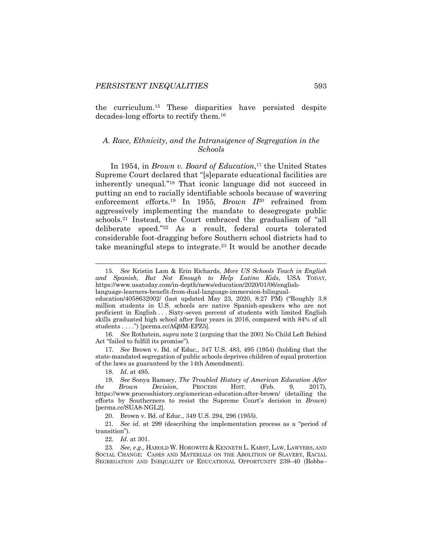the curriculum.15 These disparities have persisted despite decades-long efforts to rectify them.16

## *A. Race, Ethnicity, and the Intransigence of Segregation in the Schools*

In 1954, in *Brown v. Board of Education*, <sup>17</sup> the United States Supreme Court declared that "[s]eparate educational facilities are inherently unequal."18 That iconic language did not succeed in putting an end to racially identifiable schools because of wavering enforcement efforts.19 In 1955, *Brown II*<sup>20</sup> refrained from aggressively implementing the mandate to desegregate public schools.21 Instead, the Court embraced the gradualism of "all deliberate speed."22 As a result, federal courts tolerated considerable foot-dragging before Southern school districts had to take meaningful steps to integrate.23 It would be another decade

17. *See* Brown v. Bd. of Educ., 347 U.S. 483, 495 (1954) (holding that the state-mandated segregation of public schools deprives children of equal protection of the laws as guaranteed by the 14th Amendment).

22. *Id*. at 301.

<sup>15.</sup> *See* Kristin Lam & Erin Richards, *More US Schools Teach in English and Spanish, But Not Enough to Help Latino Kids*, USA TODAY, https://www.usatoday.com/in-depth/news/education/2020/01/06/englishlanguage-learners-benefit-from-dual-language-immersion-bilingual-

education/4058632002/ (last updated May 23, 2020, 8:27 PM) ("Roughly 3.8 million students in U.S. schools are native Spanish-speakers who are not proficient in English . . . Sixty-seven percent of students with limited English skills graduated high school after four years in 2016, compared with 84% of all students . . . .") [perma.cc/AQ9M-EPZ5].

<sup>16.</sup> *See* Rothstein, *supra* note 2 (arguing that the 2001 No Child Left Behind Act "failed to fulfill its promise").

<sup>18.</sup> *Id*. at 495.

<sup>19.</sup> *See* Sonya Ramsey, *The Troubled History of American Education After Brown Decision*, PROCESS HIST. (Feb. 9, 2017), https://www.processhistory.org/american-education-after-brown/ (detailing the efforts by Southerners to resist the Supreme Court's decision in *Brown*) [perma.cc/SUA8-NGL2].

<sup>20.</sup> Brown v. Bd. of Educ., 349 U.S. 294, 296 (1955).

<sup>21.</sup> *See id*. at 299 (describing the implementation process as a "period of transition").

<sup>23.</sup> *See, e.g.,* HAROLD W. HOROWITZ & KENNETH L. KARST, LAW, LAWYERS, AND SOCIAL CHANGE: CASES AND MATERIALS ON THE ABOLITION OF SLAVERY, RACIAL SEGREGATION AND INEQUALITY OF EDUCATIONAL OPPORTUNITY 239–40 (Bobbs–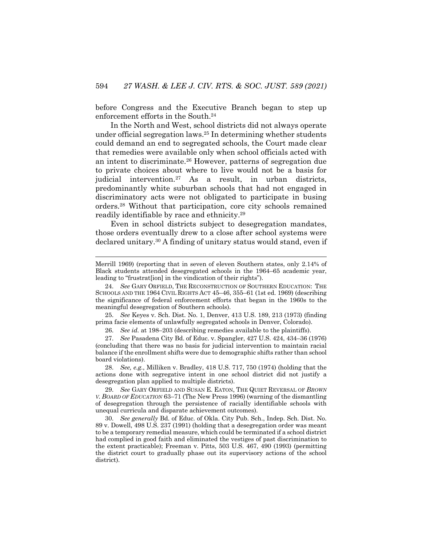before Congress and the Executive Branch began to step up enforcement efforts in the South.24

In the North and West, school districts did not always operate under official segregation laws.25 In determining whether students could demand an end to segregated schools, the Court made clear that remedies were available only when school officials acted with an intent to discriminate.26 However, patterns of segregation due to private choices about where to live would not be a basis for judicial intervention.27 As a result, in urban districts, predominantly white suburban schools that had not engaged in discriminatory acts were not obligated to participate in busing orders.28 Without that participation, core city schools remained readily identifiable by race and ethnicity.29

Even in school districts subject to desegregation mandates, those orders eventually drew to a close after school systems were declared unitary.30 A finding of unitary status would stand, even if

25. *See* Keyes v. Sch. Dist. No. 1, Denver, 413 U.S. 189, 213 (1973) (finding prima facie elements of unlawfully segregated schools in Denver, Colorado).

26. *See id.* at 198–203 (describing remedies available to the plaintiffs).

27. *See* Pasadena City Bd. of Educ. v. Spangler, 427 U.S. 424, 434–36 (1976) (concluding that there was no basis for judicial intervention to maintain racial balance if the enrollment shifts were due to demographic shifts rather than school board violations).

28. *See, e.g.*, Milliken v. Bradley, 418 U.S. 717, 750 (1974) (holding that the actions done with segregative intent in one school district did not justify a desegregation plan applied to multiple districts).

30. *See generally* Bd. of Educ. of Okla. City Pub. Sch., Indep. Sch. Dist. No. 89 v. Dowell, 498 U.S. 237 (1991) (holding that a desegregation order was meant to be a temporary remedial measure, which could be terminated if a school district had complied in good faith and eliminated the vestiges of past discrimination to the extent practicable); Freeman v. Pitts, 503 U.S. 467, 490 (1993) (permitting the district court to gradually phase out its supervisory actions of the school district).

Merrill 1969) (reporting that in seven of eleven Southern states, only 2.14% of Black students attended desegregated schools in the 1964–65 academic year, leading to "frustrat[ion] in the vindication of their rights").

<sup>24.</sup> *See* GARY ORFIELD, THE RECONSTRUCTION OF SOUTHERN EDUCATION: THE SCHOOLS AND THE 1964 CIVIL RIGHTS ACT 45–46, 355–61 (1st ed. 1969) (describing the significance of federal enforcement efforts that began in the 1960s to the meaningful desegregation of Southern schools).

<sup>29.</sup> *See* GARY ORFIELD AND SUSAN E. EATON, THE QUIET REVERSAL OF *BROWN V. BOARD OF EDUCATION* 63–71 (The New Press 1996) (warning of the dismantling of desegregation through the persistence of racially identifiable schools with unequal curricula and disparate achievement outcomes).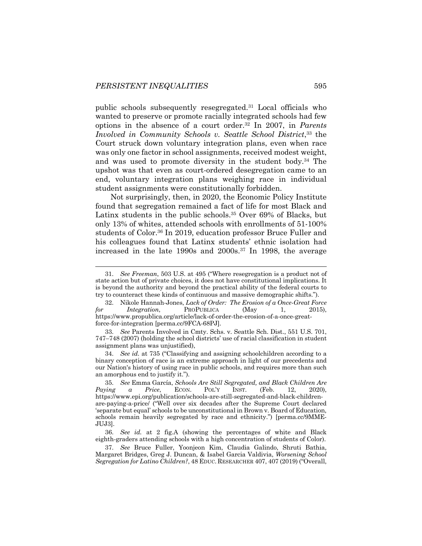public schools subsequently resegregated.31 Local officials who wanted to preserve or promote racially integrated schools had few options in the absence of a court order.32 In 2007, in *Parents Involved in Community Schools v. Seattle School District*, <sup>33</sup> the Court struck down voluntary integration plans, even when race was only one factor in school assignments, received modest weight, and was used to promote diversity in the student body.34 The upshot was that even as court-ordered desegregation came to an end, voluntary integration plans weighing race in individual student assignments were constitutionally forbidden.

Not surprisingly, then, in 2020, the Economic Policy Institute found that segregation remained a fact of life for most Black and Latinx students in the public schools.<sup>35</sup> Over 69% of Blacks, but only 13% of whites, attended schools with enrollments of 51-100% students of Color.<sup>36</sup> In 2019, education professor Bruce Fuller and his colleagues found that Latinx students' ethnic isolation had increased in the late 1990s and 2000s.37 In 1998, the average

33. *See* Parents Involved in Cmty. Schs. v. Seattle Sch. Dist., 551 U.S. 701, 747–748 (2007) (holding the school districts' use of racial classification in student assignment plans was unjustified),

34. *See id.* at 735 ("Classifying and assigning schoolchildren according to a binary conception of race is an extreme approach in light of our precedents and our Nation's history of using race in public schools, and requires more than such an amorphous end to justify it.").

<sup>31.</sup> *See Freeman*, 503 U.S. at 495 ("Where resegregation is a product not of state action but of private choices, it does not have constitutional implications. It is beyond the authority and beyond the practical ability of the federal courts to try to counteract these kinds of continuous and massive demographic shifts.").

<sup>32.</sup> Nikole Hannah-Jones, *Lack of Order: The Erosion of a Once-Great Force for Integration*, PROPUBLICA (May 1, 2015), https://www.propublica.org/article/lack-of-order-the-erosion-of-a-once-greatforce-for-integration [perma.cc/9FCA-68PJ].

<sup>35.</sup> *See* Emma García, *Schools Are Still Segregated, and Black Children Are Paying a Price*, ECON. POL'Y INST. (Feb. 12, 2020), https://www.epi.org/publication/schools-are-still-segregated-and-black-childrenare-paying-a-price/ ("Well over six decades after the Supreme Court declared 'separate but equal' schools to be unconstitutional in Brown v. Board of Education, schools remain heavily segregated by race and ethnicity.") [perma.cc/9MME-JUJ3].

<sup>36.</sup> *See id.* at 2 fig.A (showing the percentages of white and Black eighth-graders attending schools with a high concentration of students of Color).

<sup>37.</sup> *See* Bruce Fuller, Yoonjeon Kim, Claudia Galindo, Shruti Bathia, Margaret Bridges, Greg J. Duncan, & Isabel Garcia Valdivia, *Worsening School Segregation for Latino Children?*, 48 EDUC. RESEARCHER 407, 407 (2019) ("Overall,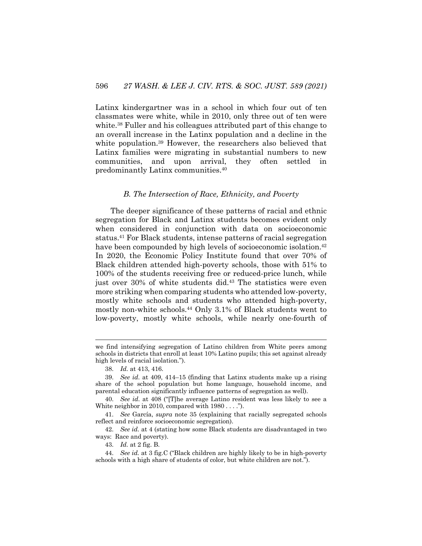Latinx kindergartner was in a school in which four out of ten classmates were white, while in 2010, only three out of ten were white.<sup>38</sup> Fuller and his colleagues attributed part of this change to an overall increase in the Latinx population and a decline in the white population.39 However, the researchers also believed that Latinx families were migrating in substantial numbers to new communities, and upon arrival, they often settled in predominantly Latinx communities.40

#### *B. The Intersection of Race, Ethnicity, and Poverty*

The deeper significance of these patterns of racial and ethnic segregation for Black and Latinx students becomes evident only when considered in conjunction with data on socioeconomic status.41 For Black students, intense patterns of racial segregation have been compounded by high levels of socioeconomic isolation.<sup>42</sup> In 2020, the Economic Policy Institute found that over 70% of Black children attended high-poverty schools, those with 51% to 100% of the students receiving free or reduced-price lunch, while just over 30% of white students did.<sup>43</sup> The statistics were even more striking when comparing students who attended low-poverty, mostly white schools and students who attended high-poverty, mostly non-white schools.44 Only 3.1% of Black students went to low-poverty, mostly white schools, while nearly one-fourth of

43. *Id.* at 2 fig. B.

we find intensifying segregation of Latino children from White peers among schools in districts that enroll at least 10% Latino pupils; this set against already high levels of racial isolation.").

<sup>38.</sup> *Id.* at 413, 416.

<sup>39.</sup> *See id*. at 409, 414–15 (finding that Latinx students make up a rising share of the school population but home language, household income, and parental education significantly influence patterns of segregation as well).

<sup>40.</sup> *See id*. at 408 ("[T]he average Latino resident was less likely to see a White neighbor in 2010, compared with  $1980...$ ...").

<sup>41.</sup> *See* García, *supra* note 35 (explaining that racially segregated schools reflect and reinforce socioeconomic segregation).

<sup>42.</sup> *See id.* at 4 (stating how some Black students are disadvantaged in two ways: Race and poverty).

<sup>44.</sup> *See id.* at 3 fig.C ("Black children are highly likely to be in high-poverty schools with a high share of students of color, but white children are not.").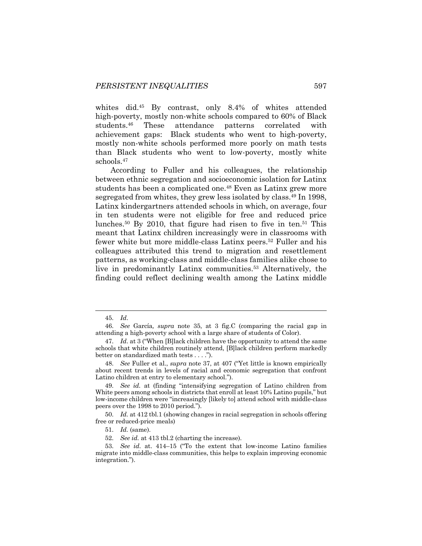whites did.<sup>45</sup> By contrast, only 8.4% of whites attended high-poverty, mostly non-white schools compared to 60% of Black students.46 These attendance patterns correlated with achievement gaps: Black students who went to high-poverty, mostly non-white schools performed more poorly on math tests than Black students who went to low-poverty, mostly white schools.47

According to Fuller and his colleagues, the relationship between ethnic segregation and socioeconomic isolation for Latinx students has been a complicated one.48 Even as Latinx grew more segregated from whites, they grew less isolated by class.49 In 1998, Latinx kindergartners attended schools in which, on average, four in ten students were not eligible for free and reduced price lunches.50 By 2010, that figure had risen to five in ten.51 This meant that Latinx children increasingly were in classrooms with fewer white but more middle-class Latinx peers.52 Fuller and his colleagues attributed this trend to migration and resettlement patterns, as working-class and middle-class families alike chose to live in predominantly Latinx communities.53 Alternatively, the finding could reflect declining wealth among the Latinx middle

<sup>45.</sup> *Id*.

<sup>46.</sup> *See* García*, supra* note 35, at 3 fig.C (comparing the racial gap in attending a high-poverty school with a large share of students of Color).

<sup>47.</sup> *Id*. at 3 ("When [B]lack children have the opportunity to attend the same schools that white children routinely attend, [B]lack children perform markedly better on standardized math tests . . . .").

<sup>48.</sup> *See* Fuller et al., *supra* note 37, at 407 ("Yet little is known empirically about recent trends in levels of racial and economic segregation that confront Latino children at entry to elementary school.").

<sup>49.</sup> *See id.* at (finding "intensifying segregation of Latino children from White peers among schools in districts that enroll at least 10% Latino pupils," but low-income children were "increasingly [likely to] attend school with middle-class peers over the 1998 to 2010 period.").

<sup>50.</sup> *Id.* at 412 tbl.1 (showing changes in racial segregation in schools offering free or reduced-price meals)

<sup>51.</sup> *Id.* (same).

<sup>52.</sup> *See id.* at 413 tbl.2 (charting the increase).

<sup>53.</sup> *See id*. at. 414–15 ("To the extent that low-income Latino families migrate into middle-class communities, this helps to explain improving economic integration.").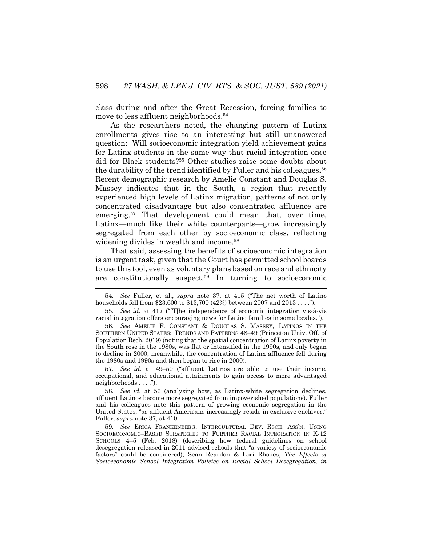class during and after the Great Recession, forcing families to move to less affluent neighborhoods.<sup>54</sup>

As the researchers noted, the changing pattern of Latinx enrollments gives rise to an interesting but still unanswered question: Will socioeconomic integration yield achievement gains for Latinx students in the same way that racial integration once did for Black students?55 Other studies raise some doubts about the durability of the trend identified by Fuller and his colleagues.<sup>56</sup> Recent demographic research by Amelie Constant and Douglas S. Massey indicates that in the South, a region that recently experienced high levels of Latinx migration, patterns of not only concentrated disadvantage but also concentrated affluence are emerging.57 That development could mean that, over time, Latinx—much like their white counterparts—grow increasingly segregated from each other by socioeconomic class, reflecting widening divides in wealth and income.<sup>58</sup>

That said, assessing the benefits of socioeconomic integration is an urgent task, given that the Court has permitted school boards to use this tool, even as voluntary plans based on race and ethnicity are constitutionally suspect.59 In turning to socioeconomic

57. *See id.* at 49–50 ("affluent Latinos are able to use their income, occupational, and educational attainments to gain access to more advantaged neighborhoods . . . .").

<sup>54.</sup> *See* Fuller, et al., *supra* note 37, at 415 ("The net worth of Latino households fell from \$23,600 to \$13,700 (42%) between 2007 and 2013 . . . .").

<sup>55.</sup> *See id*. at 417 ("[T]he independence of economic integration vis-à-vis racial integration offers encouraging news for Latino families in some locales.").

<sup>56.</sup> *See* AMELIE F. CONSTANT & DOUGLAS S. MASSEY, LATINOS IN THE SOUTHERN UNITED STATES: TRENDS AND PATTERNS 48–49 (Princeton Univ. Off. of Population Rsch. 2019) (noting that the spatial concentration of Latinx poverty in the South rose in the 1980s, was flat or intensified in the 1990s, and only began to decline in 2000; meanwhile, the concentration of Latinx affluence fell during the 1980s and 1990s and then began to rise in 2000).

<sup>58.</sup> *See id.* at 56 (analyzing how, as Latinx-white segregation declines, affluent Latinos become more segregated from impoverished populations). Fuller and his colleagues note this pattern of growing economic segregation in the United States, "as affluent Americans increasingly reside in exclusive enclaves." Fuller, *supra* note 37, at 410.

<sup>59.</sup> *See* ERICA FRANKENBERG, INTERCULTURAL DEV. RSCH. ASS'N, USING SOCIOECONOMIC–BASED STRATEGIES TO FURTHER RACIAL INTEGRATION IN K-12 SCHOOLS 4–5 (Feb. 2018) (describing how federal guidelines on school desegregation released in 2011 advised schools that "a variety of socioeconomic factors" could be considered); Sean Reardon & Lori Rhodes, *The Effects of Socioeconomic School Integration Policies on Racial School Desegregation*, *in*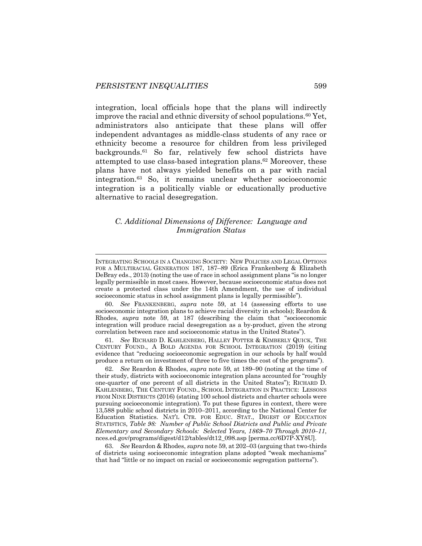integration, local officials hope that the plans will indirectly improve the racial and ethnic diversity of school populations.<sup>60</sup> Yet, administrators also anticipate that these plans will offer independent advantages as middle-class students of any race or ethnicity become a resource for children from less privileged backgrounds.61 So far, relatively few school districts have attempted to use class-based integration plans.62 Moreover, these plans have not always yielded benefits on a par with racial integration.63 So, it remains unclear whether socioeconomic integration is a politically viable or educationally productive alternative to racial desegregation.

## *C. Additional Dimensions of Difference: Language and Immigration Status*

60. *See* FRANKENBERG, *supra* note 59, at 14 (assessing efforts to use socioeconomic integration plans to achieve racial diversity in schools); Reardon & Rhodes, *supra* note 59, at 187 (describing the claim that "socioeconomic integration will produce racial desegregation as a by-product, given the strong correlation between race and socioeconomic status in the United States").

61. *See* RICHARD D. KAHLENBERG, HALLEY POTTER & KIMBERLY QUICK, THE CENTURY FOUND., A BOLD AGENDA FOR SCHOOL INTEGRATION (2019) (citing evidence that "reducing socioeconomic segregation in our schools by half would produce a return on investment of three to five times the cost of the programs").

62. *See* Reardon & Rhodes, *supra* note 59, at 189–90 (noting at the time of their study, districts with socioeconomic integration plans accounted for "roughly one-quarter of one percent of all districts in the United States"); RICHARD D. KAHLENBERG, THE CENTURY FOUND., SCHOOL INTEGRATION IN PRACTICE: LESSONS FROM NINE DISTRICTS (2016) (stating 100 school districts and charter schools were pursuing socioeconomic integration). To put these figures in context, there were 13,588 public school districts in 2010–2011, according to the National Center for Education Statistics. NAT'L CTR. FOR EDUC. STAT., DIGEST OF EDUCATION STATISTICS, *Table 98: Number of Public School Districts and Public and Private Elementary and Secondary Schools: Selected Years, 1869–70 Through 2010–11*, nces.ed.gov/programs/digest/d12/tables/dt12\_098.asp [perma.cc/6D7P-XY8U].

63. *See* Reardon & Rhodes, *supra* note 59, at 202–03 (arguing that two-thirds of districts using socioeconomic integration plans adopted "weak mechanisms" that had "little or no impact on racial or socioeconomic segregation patterns").

INTEGRATING SCHOOLS IN A CHANGING SOCIETY: NEW POLICIES AND LEGAL OPTIONS FOR A MULTIRACIAL GENERATION 187, 187–89 (Erica Frankenberg & Elizabeth DeBray eds., 2013) (noting the use of race in school assignment plans "is no longer legally permissible in most cases. However, because socioeconomic status does not create a protected class under the 14th Amendment, the use of individual socioeconomic status in school assignment plans is legally permissible").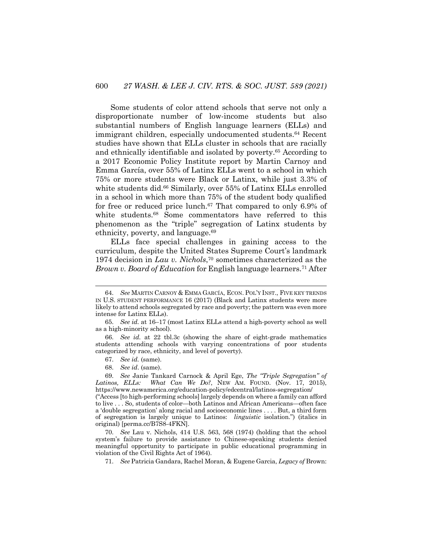Some students of color attend schools that serve not only a disproportionate number of low-income students but also substantial numbers of English language learners (ELLs) and immigrant children, especially undocumented students.<sup>64</sup> Recent studies have shown that ELLs cluster in schools that are racially and ethnically identifiable and isolated by poverty.65 According to a 2017 Economic Policy Institute report by Martin Carnoy and Emma García, over 55% of Latinx ELLs went to a school in which 75% or more students were Black or Latinx, while just 3.3% of white students did.<sup>66</sup> Similarly, over 55% of Latinx ELLs enrolled in a school in which more than 75% of the student body qualified for free or reduced price lunch.<sup>67</sup> That compared to only 6.9% of white students.<sup>68</sup> Some commentators have referred to this phenomenon as the "triple" segregation of Latinx students by ethnicity, poverty, and language.69

ELLs face special challenges in gaining access to the curriculum, despite the United States Supreme Court's landmark 1974 decision in *Lau v. Nichols*, <sup>70</sup> sometimes characterized as the *Brown v. Board of Education* for English language learners.71 After

- 67. *See id.* (same).
- 68. *See id*. (same).

69. *See* Janie Tankard Carnock & April Ege, *The "Triple Segregation" of What Can We Do?*, NEW AM. FOUND. (Nov. 17, 2015), https://www.newamerica.org/education-policy/edcentral/latinos-segregation/

("Access [to high-performing schools] largely depends on where a family can afford to live . . . So, students of color—both Latinos and African Americans—often face a 'double segregation' along racial and socioeconomic lines . . . . But, a third form of segregation is largely unique to Latinos: *linguistic* isolation.") (italics in original) [perma.cc/B7S8-4FKN].

70. *See* Lau v. Nichols, 414 U.S. 563, 568 (1974) (holding that the school system's failure to provide assistance to Chinese-speaking students denied meaningful opportunity to participate in public educational programming in violation of the Civil Rights Act of 1964).

71. *See* Patricia Gandara, Rachel Moran, & Eugene Garcia, *Legacy of* Brown:

<sup>64.</sup> *See* MARTIN CARNOY & EMMA GARCÍA, ECON. POL'Y INST., FIVE KEY TRENDS IN U.S. STUDENT PERFORMANCE 16 (2017) (Black and Latinx students were more likely to attend schools segregated by race and poverty; the pattern was even more intense for Latinx ELLs).

<sup>65.</sup> *See id.* at 16–17 (most Latinx ELLs attend a high-poverty school as well as a high-minority school).

<sup>66.</sup> *See id.* at 22 tbl.3c (showing the share of eight-grade mathematics students attending schools with varying concentrations of poor students categorized by race, ethnicity, and level of poverty).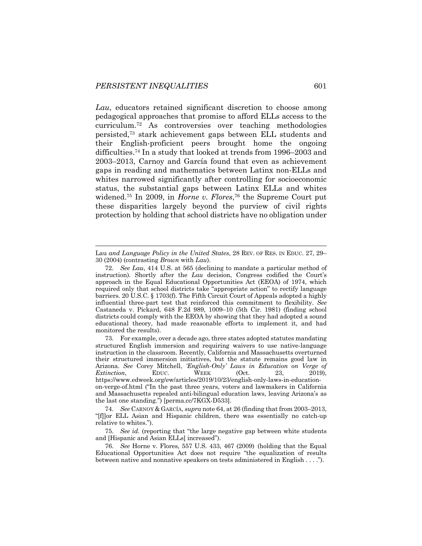*Lau*, educators retained significant discretion to choose among pedagogical approaches that promise to afford ELLs access to the curriculum.72 As controversies over teaching methodologies persisted,73 stark achievement gaps between ELL students and their English-proficient peers brought home the ongoing difficulties.74 In a study that looked at trends from 1996–2003 and 2003–2013, Carnoy and García found that even as achievement gaps in reading and mathematics between Latinx non-ELLs and whites narrowed significantly after controlling for socioeconomic status, the substantial gaps between Latinx ELLs and whites widened.75 In 2009, in *Horne v. Flores*, <sup>76</sup> the Supreme Court put these disparities largely beyond the purview of civil rights protection by holding that school districts have no obligation under

Lau *and Language Policy in the United States*, 28 REV. OF RES. IN EDUC. 27, 29– 30 (2004) (contrasting *Brown* with *Lau*).

<sup>72.</sup> *See Lau*, 414 U.S. at 565 (declining to mandate a particular method of instruction). Shortly after the *Lau* decision, Congress codified the Court's approach in the Equal Educational Opportunities Act (EEOA) of 1974, which required only that school districts take "appropriate action" to rectify language barriers. 20 U.S.C. § 1703(f). The Fifth Circuit Court of Appeals adopted a highly influential three-part test that reinforced this commitment to flexibility. *See* Castaneda v. Pickard, 648 F.2d 989, 1009–10 (5th Cir. 1981) (finding school districts could comply with the EEOA by showing that they had adopted a sound educational theory, had made reasonable efforts to implement it, and had monitored the results).

<sup>73.</sup> For example, over a decade ago, three states adopted statutes mandating structured English immersion and requiring waivers to use native-language instruction in the classroom. Recently, California and Massachusetts overturned their structured immersion initiatives, but the statute remains good law in Arizona. *See* Corey Mitchell, *'English-Only' Laws in Education on Verge of Extinction*, EDUC. WEEK (Oct. 23, 2019), https://www.edweek.org/ew/articles/2019/10/23/english-only-laws-in-educationon-verge-of.html ("In the past three years, voters and lawmakers in California and Massachusetts repealed anti-bilingual education laws, leaving Arizona's as the last one standing.") [perma.cc/7KGX-D533].

<sup>74.</sup> *See* CARNOY & GARCÍA, *supra* note 64, at 26 (finding that from 2003–2013, "[f]]or ELL Asian and Hispanic children, there was essentially no catch-up relative to whites.").

<sup>75.</sup> *See id.* (reporting that "the large negative gap between white students and [Hispanic and Asian ELLs] increased").

<sup>76.</sup> *See* Horne v. Flores, 557 U.S. 433, 467 (2009) (holding that the Equal Educational Opportunities Act does not require "the equalization of results between native and nonnative speakers on tests administered in English . . . .").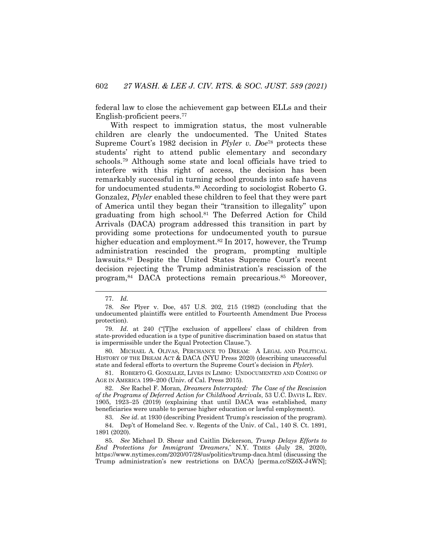federal law to close the achievement gap between ELLs and their English-proficient peers.77

With respect to immigration status, the most vulnerable children are clearly the undocumented. The United States Supreme Court's 1982 decision in *Plyler v. Doe*<sup>78</sup> protects these students' right to attend public elementary and secondary schools.79 Although some state and local officials have tried to interfere with this right of access, the decision has been remarkably successful in turning school grounds into safe havens for undocumented students.80 According to sociologist Roberto G. Gonzalez, *Plyler* enabled these children to feel that they were part of America until they began their "transition to illegality" upon graduating from high school.<sup>81</sup> The Deferred Action for Child Arrivals (DACA) program addressed this transition in part by providing some protections for undocumented youth to pursue higher education and employment.<sup>82</sup> In 2017, however, the Trump administration rescinded the program, prompting multiple lawsuits.83 Despite the United States Supreme Court's recent decision rejecting the Trump administration's rescission of the program,84 DACA protections remain precarious.85 Moreover,

80. MICHAEL A. OLIVAS, PERCHANCE TO DREAM: A LEGAL AND POLITICAL HISTORY OF THE DREAM ACT & DACA (NYU Press 2020) (describing unsuccessful state and federal efforts to overturn the Supreme Court's decision in *Plyler*).

81. ROBERTO G. GONZALEZ, LIVES IN LIMBO: UNDOCUMENTED AND COMING OF AGE IN AMERICA 199–200 (Univ. of Cal. Press 2015).

82. *See* Rachel F. Moran, *Dreamers Interrupted: The Case of the Rescission of the Programs of Deferred Action for Childhood Arrivals*, 53 U.C. DAVIS L. REV. 1905, 1923–25 (2019) (explaining that until DACA was established, many beneficiaries were unable to peruse higher education or lawful employment).

83. *See id*. at 1930 (describing President Trump's rescission of the program).

85. *See* Michael D. Shear and Caitlin Dickerson, *Trump Delays Efforts to End Protections for Immigrant 'Dreamers*,' N.Y. TIMES (July 28, 2020), https://www.nytimes.com/2020/07/28/us/politics/trump-daca.html (discussing the Trump administration's new restrictions on DACA) [perma.cc/SZ6X-J4WN];

<sup>77.</sup> *Id.* 

<sup>78.</sup> *See* Plyer v. Doe, 457 U.S. 202, 215 (1982) (concluding that the undocumented plaintiffs were entitled to Fourteenth Amendment Due Process protection).

<sup>79.</sup> *Id*. at 240 ("[T]he exclusion of appellees' class of children from state-provided education is a type of punitive discrimination based on status that is impermissible under the Equal Protection Clause.").

<sup>84.</sup> Dep't of Homeland Sec. v. Regents of the Univ. of Cal., 140 S. Ct. 1891, 1891 (2020).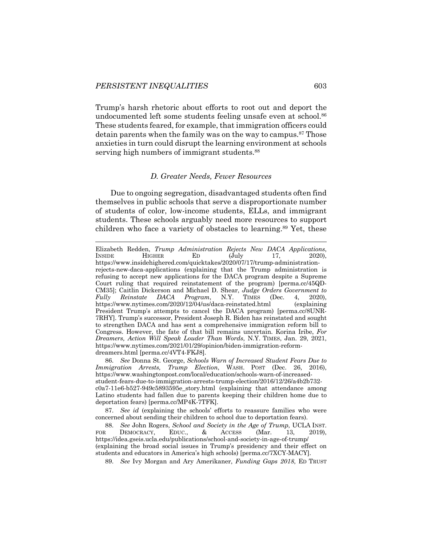Trump's harsh rhetoric about efforts to root out and deport the undocumented left some students feeling unsafe even at school.<sup>86</sup> These students feared, for example, that immigration officers could detain parents when the family was on the way to campus.<sup>87</sup> Those anxieties in turn could disrupt the learning environment at schools serving high numbers of immigrant students.<sup>88</sup>

#### *D. Greater Needs, Fewer Resources*

Due to ongoing segregation, disadvantaged students often find themselves in public schools that serve a disproportionate number of students of color, low-income students, ELLs, and immigrant students. These schools arguably need more resources to support children who face a variety of obstacles to learning.<sup>89</sup> Yet, these

86. *See* Donna St. George, *Schools Warn of Increased Student Fears Due to Immigration Arrests, Trump Election*, WASH. POST (Dec. 26, 2016), https://www.washingtonpost.com/local/education/schools-warn-of-increasedstudent-fears-due-to-immigration-arrests-trump-election/2016/12/26/a4b2b732 c0a7-11e6-b527-949c5893595e\_story.html (explaining that attendance among Latino students had fallen due to parents keeping their children home due to deportation fears) [perma.cc/MP4K-7TFK].

87. *See id* (explaining the schools' efforts to reassure families who were concerned about sending their children to school due to deportation fears).

88. *See* John Rogers, *School and Society in the Age of Trump*, UCLA INST. FOR DEMOCRACY, EDUC., & ACCESS (Mar. 13, 2019), https://idea.gseis.ucla.edu/publications/school-and-society-in-age-of-trump/ (explaining the broad social issues in Trump's presidency and their effect on students and educators in America's high schools) [perma.cc/7XCY-MACY].

89. *See* Ivy Morgan and Ary Amerikaner, *Funding Gaps 2018*, ED TRUST

Elizabeth Redden, *Trump Administration Rejects New DACA Applications*, INSIDE HIGHER ED (July 17, 2020), https://www.insidehighered.com/quicktakes/2020/07/17/trump-administrationrejects-new-daca-applications (explaining that the Trump administration is refusing to accept new applications for the DACA program despite a Supreme Court ruling that required reinstatement of the program) [perma.cc/45QD-CM35]; Caitlin Dickerson and Michael D. Shear, *Judge Orders Government to Fully Reinstate DACA Program*, N.Y. TIMES (Dec. 4, 2020), https://www.nytimes.com/2020/12/04/us/daca-reinstated.html (explaining President Trump's attempts to cancel the DACA program) [perma.cc/8UNR-7RHY]. Trump's successor, President Joseph R. Biden has reinstated and sought to strengthen DACA and has sent a comprehensive immigration reform bill to Congress. However, the fate of that bill remains uncertain. Korina Iribe, *For Dreamers, Action Will Speak Louder Than Words*, N.Y. TIMES, Jan. 29, 2021, https://www.nytimes.com/2021/01/29/opinion/biden-immigration-reformdreamers.html [perma.cc/4VT4-FKJ8].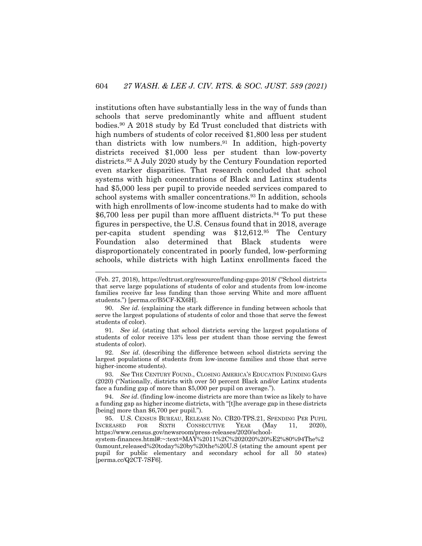institutions often have substantially less in the way of funds than schools that serve predominantly white and affluent student bodies.90 A 2018 study by Ed Trust concluded that districts with high numbers of students of color received \$1,800 less per student than districts with low numbers.91 In addition, high-poverty districts received \$1,000 less per student than low-poverty districts.92 A July 2020 study by the Century Foundation reported even starker disparities. That research concluded that school systems with high concentrations of Black and Latinx students had \$5,000 less per pupil to provide needed services compared to school systems with smaller concentrations.<sup>93</sup> In addition, schools with high enrollments of low-income students had to make do with  $$6,700$  less per pupil than more affluent districts.<sup>94</sup> To put these figures in perspective, the U.S. Census found that in 2018, average per-capita student spending was \$12,612.95 The Century Foundation also determined that Black students were disproportionately concentrated in poorly funded, low-performing schools, while districts with high Latinx enrollments faced the

90. *See id*. (explaining the stark difference in funding between schools that serve the largest populations of students of color and those that serve the fewest students of color).

91. *See id*. (stating that school districts serving the largest populations of students of color receive 13% less per student than those serving the fewest students of color).

92. *See id*. (describing the difference between school districts serving the largest populations of students from low-income families and those that serve higher-income students).

93. *See* THE CENTURY FOUND., CLOSING AMERICA'S EDUCATION FUNDING GAPS (2020) ("Nationally, districts with over 50 percent Black and/or Latinx students face a funding gap of more than \$5,000 per pupil on average.").

94. *See id*. (finding low-income districts are more than twice as likely to have a funding gap as higher income districts, with "[t]he average gap in these districts [being] more than \$6,700 per pupil.").

95. U.S. CENSUS BUREAU, RELEASE NO. CB20-TPS.21, SPENDING PER PUPIL INCREASED FOR SIXTH CONSECUTIVE YEAR (May 11, 2020), https://www.census.gov/newsroom/press-releases/2020/school-

system-finances.html#:~:text=MAY%2011%2C%202020%20%E2%80%94The%2 0amount,released%20today%20by%20the%20U.S (stating the amount spent per pupil for public elementary and secondary school for all 50 states) [perma.cc/Q2CT-7SF6].

<sup>(</sup>Feb. 27, 2018), https://edtrust.org/resource/funding-gaps-2018/ ("School districts that serve large populations of students of color and students from low-income families receive far less funding than those serving White and more affluent students.") [perma.cc/B5CF-KX6H].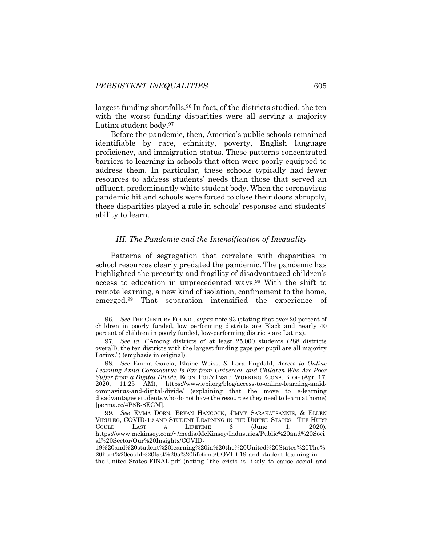largest funding shortfalls.96 In fact, of the districts studied, the ten with the worst funding disparities were all serving a majority Latinx student body.97

Before the pandemic, then, America's public schools remained identifiable by race, ethnicity, poverty, English language proficiency, and immigration status. These patterns concentrated barriers to learning in schools that often were poorly equipped to address them. In particular, these schools typically had fewer resources to address students' needs than those that served an affluent, predominantly white student body. When the coronavirus pandemic hit and schools were forced to close their doors abruptly, these disparities played a role in schools' responses and students' ability to learn.

#### *III. The Pandemic and the Intensification of Inequality*

Patterns of segregation that correlate with disparities in school resources clearly predated the pandemic. The pandemic has highlighted the precarity and fragility of disadvantaged children's access to education in unprecedented ways.<sup>98</sup> With the shift to remote learning, a new kind of isolation, confinement to the home, emerged.99 That separation intensified the experience of

<sup>96.</sup> *See* THE CENTURY FOUND., *supra* note 93 (stating that over 20 percent of children in poorly funded, low performing districts are Black and nearly 40 percent of children in poorly funded, low-performing districts are Latinx).

<sup>97.</sup> *See id.* ("Among districts of at least 25,000 students (288 districts overall), the ten districts with the largest funding gaps per pupil are all majority Latinx.") (emphasis in original).

<sup>98.</sup> *See* Emma García, Elaine Weiss, & Lora Engdahl, *Access to Online Learning Amid Coronavirus Is Far from Universal, and Children Who Are Poor Suffer from a Digital Divide,* ECON. POL'Y INST.: WORKING ECONS. BLOG (Apr. 17, 2020, 11:25 AM), https://www.epi.org/blog/access-to-online-learning-amidcoronavirus-and-digital-divide/ (explaining that the move to e-learning disadvantages students who do not have the resources they need to learn at home) [perma.cc/4P8B-8EGM].

<sup>99.</sup> *See* EMMA DORN, BRYAN HANCOCK, JIMMY SARAKATSANNIS, & ELLEN VIRULEG, COVID-19 AND STUDENT LEARNING IN THE UNITED STATES: THE HURT COULD LAST A LIFETIME 6 (June 1, 2020), https://www.mckinsey.com/~/media/McKinsey/Industries/Public%20and%20Soci al%20Sector/Our%20Insights/COVID-

<sup>19%20</sup>and%20student%20learning%20in%20the%20United%20States%20The% 20hurt%20could%20last%20a%20lifetime/COVID-19-and-student-learning-inthe-United-States-FINAL.pdf (noting "the crisis is likely to cause social and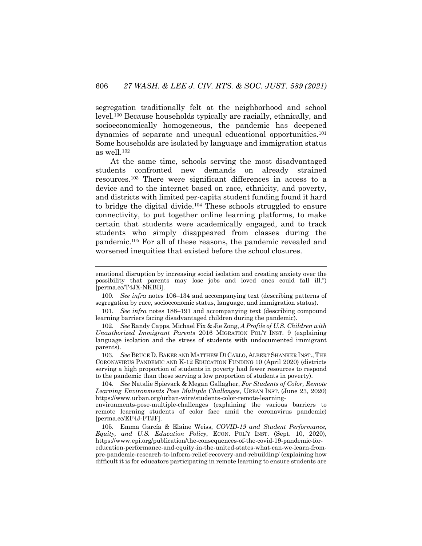segregation traditionally felt at the neighborhood and school level.100 Because households typically are racially, ethnically, and socioeconomically homogeneous, the pandemic has deepened dynamics of separate and unequal educational opportunities.101 Some households are isolated by language and immigration status as well.102

At the same time, schools serving the most disadvantaged students confronted new demands on already strained resources.103 There were significant differences in access to a device and to the internet based on race, ethnicity, and poverty, and districts with limited per-capita student funding found it hard to bridge the digital divide.104 These schools struggled to ensure connectivity, to put together online learning platforms, to make certain that students were academically engaged, and to track students who simply disappeared from classes during the pandemic.105 For all of these reasons, the pandemic revealed and worsened inequities that existed before the school closures.

101. *See infra* notes 188–191 and accompanying text (describing compound learning barriers facing disadvantaged children during the pandemic).

102. *See* Randy Capps, Michael Fix & Jie Zong, *A Profile of U.S. Children with Unauthorized Immigrant Parents* 2016 MIGRATION POL'Y INST. 9 (explaining language isolation and the stress of students with undocumented immigrant parents).

103. *See* BRUCE D. BAKER AND MATTHEW DI CARLO, ALBERT SHANKER INST.,THE CORONAVIRUS PANDEMIC AND K-12 EDUCATION FUNDING 10 (April 2020) (districts serving a high proportion of students in poverty had fewer resources to respond to the pandemic than those serving a low proportion of students in poverty).

104. *See* Natalie Spievack & Megan Gallagher, *For Students of Color, Remote Learning Environments Pose Multiple Challenges*, URBAN INST. (June 23, 2020) https://www.urban.org/urban-wire/students-color-remote-learning-

environments-pose-multiple-challenges (explaining the various barriers to remote learning students of color face amid the coronavirus pandemic) [perma.cc/EF4J-FTJF].

105. Emma García & Elaine Weiss, *COVID-19 and Student Performance, Equity, and U.S. Education Policy*, ECON. POL'Y INST. (Sept. 10, 2020), https://www.epi.org/publication/the-consequences-of-the-covid-19-pandemic-foreducation-performance-and-equity-in-the-united-states-what-can-we-learn-frompre-pandemic-research-to-inform-relief-recovery-and-rebuilding/ (explaining how difficult it is for educators participating in remote learning to ensure students are

emotional disruption by increasing social isolation and creating anxiety over the possibility that parents may lose jobs and loved ones could fall ill.") [perma.cc/T4JX-NKBB].

<sup>100.</sup> *See infra* notes 106–134 and accompanying text (describing patterns of segregation by race, socioeconomic status, language, and immigration status).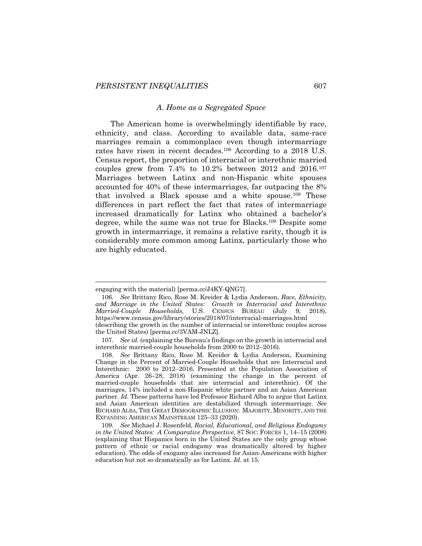#### *A. Home as a Segregated Space*

The American home is overwhelmingly identifiable by race, ethnicity, and class. According to available data, same-race marriages remain a commonplace even though intermarriage rates have risen in recent decades.106 According to a 2018 U.S. Census report, the proportion of interracial or interethnic married couples grew from 7.4% to 10.2% between 2012 and 2016.107 Marriages between Latinx and non-Hispanic white spouses accounted for 40% of these intermarriages, far outpacing the 8% that involved a Black spouse and a white spouse.108 These differences in part reflect the fact that rates of intermarriage increased dramatically for Latinx who obtained a bachelor's degree, while the same was not true for Blacks.109 Despite some growth in intermarriage, it remains a relative rarity, though it is considerably more common among Latinx, particularly those who are highly educated.

engaging with the material) [perma.cc/J4KY-QNG7].

<sup>106.</sup> *See* Brittany Rico, Rose M. Kreider & Lydia Anderson, *Race, Ethnicity, and Marriage in the United States: Growth in Interracial and Interethnic Married-Couple Households*, U.S. CENSUS BUREAU (July 9, 2018), https://www.census.gov/library/stories/2018/07/interracial-marriages.html (describing the growth in the number of interracial or interethnic couples across the United States) [perma.cc/3VAM-JNLZ].

<sup>107.</sup> *See id.* (explaining the Bureau's findings on the growth in interracial and interethnic married-couple households from 2000 to 2012–2016).

<sup>108.</sup> *See* Brittany Rico, Rose M. Kreider & Lydia Anderson, Examining Change in the Percent of Married-Couple Households that are Interracial and Interethnic: 2000 to 2012–2016, Presented at the Population Association of America (Apr. 26–28, 2018) (examining the change in the percent of married-couple households that are interracial and interethnic). Of the marriages, 14% included a non-Hispanic white partner and an Asian American partner. *Id*. These patterns have led Professor Richard Alba to argue that Latinx and Asian American identities are destabilized through intermarriage. *See*  RICHARD ALBA, THE GREAT DEMOGRAPHIC ILLUSION: MAJORITY, MINORITY, AND THE EXPANDING AMERICAN MAINSTREAM 125–33 (2020).

<sup>109.</sup> *See* Michael J. Rosenfeld, *Racial, Educational, and Religious Endogamy in the United States: A Comparative Perspective*, 87 SOC. FORCES 1, 14–15 (2008) (explaining that Hispanics born in the United States are the only group whose pattern of ethnic or racial endogamy was dramatically altered by higher education). The odds of exogamy also increased for Asian-Americans with higher education but not so dramatically as for Latinx. *Id*. at 15.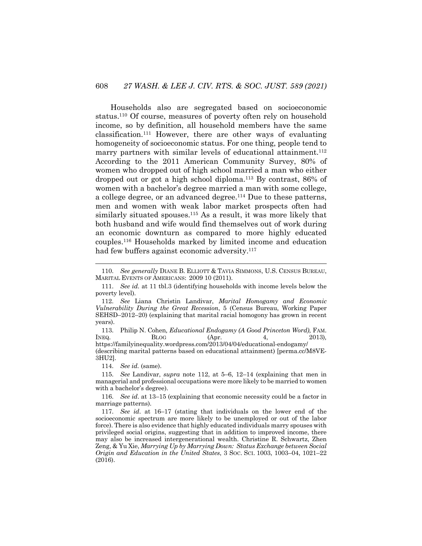Households also are segregated based on socioeconomic status.110 Of course, measures of poverty often rely on household income, so by definition, all household members have the same classification.111 However, there are other ways of evaluating homogeneity of socioeconomic status. For one thing, people tend to marry partners with similar levels of educational attainment.<sup>112</sup> According to the 2011 American Community Survey, 80% of women who dropped out of high school married a man who either dropped out or got a high school diploma.113 By contrast, 86% of women with a bachelor's degree married a man with some college, a college degree, or an advanced degree.<sup>114</sup> Due to these patterns, men and women with weak labor market prospects often had similarly situated spouses.<sup>115</sup> As a result, it was more likely that both husband and wife would find themselves out of work during an economic downturn as compared to more highly educated couples.116 Households marked by limited income and education had few buffers against economic adversity.<sup>117</sup>

114. *See id.* (same).

115. *See* Landivar, *supra* note 112, at 5–6, 12–14 (explaining that men in managerial and professional occupations were more likely to be married to women with a bachelor's degree).

<sup>110.</sup> *See generally* DIANE B. ELLIOTT & TAVIA SIMMONS, U.S. CENSUS BUREAU, MARITAL EVENTS OF AMERICANS: 2009 10 (2011).

<sup>111.</sup> *See id.* at 11 tbl.3 (identifying households with income levels below the poverty level).

<sup>112.</sup> *See* Liana Christin Landivar, *Marital Homogamy and Economic Vulnerability During the Great Recession*, 5 (Census Bureau, Working Paper SEHSD–2012–20) (explaining that marital racial homogony has grown in recent years).

<sup>113.</sup> Philip N. Cohen, *Educational Endogamy (A Good Princeton Word)*, FAM.<br>
<u>EQ.</u> (Apr. 4, 2013). INEQ. BLOG (Apr. 4, 2013)*,*  https://familyinequality.wordpress.com/2013/04/04/educational-endogamy/

<sup>(</sup>describing marital patterns based on educational attainment) [perma.cc/M8VE-3HU2].

<sup>116.</sup> *See id*. at 13–15 (explaining that economic necessity could be a factor in marriage patterns).

<sup>117.</sup> *See id*. at 16–17 (stating that individuals on the lower end of the socioeconomic spectrum are more likely to be unemployed or out of the labor force). There is also evidence that highly educated individuals marry spouses with privileged social origins, suggesting that in addition to improved income, there may also be increased intergenerational wealth. Christine R. Schwartz, Zhen Zeng, & Yu Xie, *Marrying Up by Marrying Down: Status Exchange between Social Origin and Education in the United States*, 3 SOC. SCI. 1003, 1003–04, 1021–22 (2016).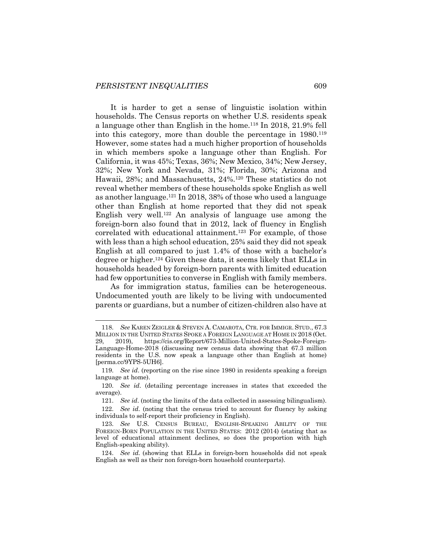It is harder to get a sense of linguistic isolation within households. The Census reports on whether U.S. residents speak a language other than English in the home.118 In 2018, 21.9% fell into this category, more than double the percentage in 1980.119 However, some states had a much higher proportion of households in which members spoke a language other than English. For California, it was 45%; Texas, 36%; New Mexico, 34%; New Jersey, 32%; New York and Nevada, 31%; Florida, 30%; Arizona and Hawaii, 28%; and Massachusetts, 24%.120 These statistics do not reveal whether members of these households spoke English as well as another language.121 In 2018, 38% of those who used a language other than English at home reported that they did not speak English very well.<sup>122</sup> An analysis of language use among the foreign-born also found that in 2012, lack of fluency in English correlated with educational attainment.<sup>123</sup> For example, of those with less than a high school education, 25% said they did not speak English at all compared to just 1.4% of those with a bachelor's degree or higher.124 Given these data, it seems likely that ELLs in households headed by foreign-born parents with limited education had few opportunities to converse in English with family members.

As for immigration status, families can be heterogeneous. Undocumented youth are likely to be living with undocumented parents or guardians, but a number of citizen-children also have at

<sup>118.</sup> *See* KAREN ZEIGLER & STEVEN A. CAMAROTA, CTR. FOR IMMIGR. STUD., 67.3 MILLION IN THE UNITED STATES SPOKE A FOREIGN LANGUAGE AT HOME IN 2018 (Oct. 29, 2019), https://cis.org/Report/673-Million-United-States-Spoke-Foreign-Language-Home-2018 (discussing new census data showing that 67.3 million residents in the U.S. now speak a language other than English at home) [perma.cc/9YPS-5UH6].

<sup>119.</sup> *See id*. (reporting on the rise since 1980 in residents speaking a foreign language at home).

<sup>120.</sup> *See id*. (detailing percentage increases in states that exceeded the average).

<sup>121.</sup> *See id*. (noting the limits of the data collected in assessing bilingualism).

<sup>122.</sup> *See id*. (noting that the census tried to account for fluency by asking individuals to self-report their proficiency in English).

<sup>123.</sup> *See* U.S. CENSUS BUREAU, ENGLISH-SPEAKING ABILITY OF THE FOREIGN-BORN POPULATION IN THE UNITED STATES: 2012 (2014) (stating that as level of educational attainment declines, so does the proportion with high English-speaking ability).

<sup>124.</sup> *See id.* (showing that ELLs in foreign-born households did not speak English as well as their non foreign-born household counterparts).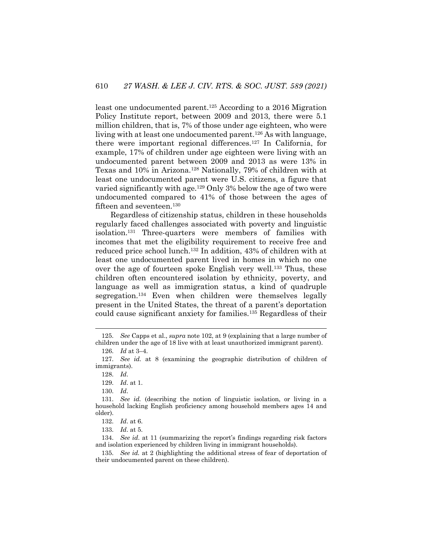least one undocumented parent.125 According to a 2016 Migration Policy Institute report, between 2009 and 2013, there were 5.1 million children, that is, 7% of those under age eighteen, who were living with at least one undocumented parent.126 As with language, there were important regional differences.127 In California, for example, 17% of children under age eighteen were living with an undocumented parent between 2009 and 2013 as were 13% in Texas and 10% in Arizona.128 Nationally, 79% of children with at least one undocumented parent were U.S. citizens, a figure that varied significantly with age.129 Only 3% below the age of two were undocumented compared to 41% of those between the ages of fifteen and seventeen.<sup>130</sup>

Regardless of citizenship status, children in these households regularly faced challenges associated with poverty and linguistic isolation.131 Three-quarters were members of families with incomes that met the eligibility requirement to receive free and reduced price school lunch.132 In addition, 43% of children with at least one undocumented parent lived in homes in which no one over the age of fourteen spoke English very well.<sup>133</sup> Thus, these children often encountered isolation by ethnicity, poverty, and language as well as immigration status, a kind of quadruple segregation.<sup>134</sup> Even when children were themselves legally present in the United States, the threat of a parent's deportation could cause significant anxiety for families.135 Regardless of their

<sup>125.</sup> *See* Capps et al., *supra* note 102, at 9 (explaining that a large number of children under the age of 18 live with at least unauthorized immigrant parent).

<sup>126.</sup> *Id* at 3–4.

<sup>127.</sup> *See id.* at 8 (examining the geographic distribution of children of immigrants).

<sup>128.</sup> *Id*.

<sup>129.</sup> *Id*. at 1.

<sup>130.</sup> *Id*.

<sup>131.</sup> *See id.* (describing the notion of linguistic isolation, or living in a household lacking English proficiency among household members ages 14 and older).

<sup>132.</sup> *Id*. at 6.

<sup>133.</sup> *Id*. at 5.

<sup>134.</sup> *See id*. at 11 (summarizing the report's findings regarding risk factors and isolation experienced by children living in immigrant households).

<sup>135.</sup> *See id.* at 2 (highlighting the additional stress of fear of deportation of their undocumented parent on these children).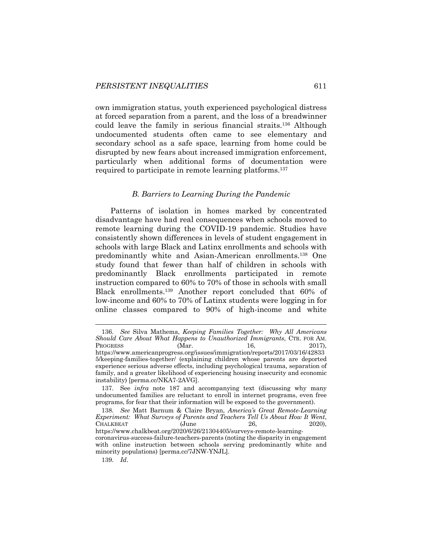own immigration status, youth experienced psychological distress at forced separation from a parent, and the loss of a breadwinner could leave the family in serious financial straits.136 Although undocumented students often came to see elementary and secondary school as a safe space, learning from home could be disrupted by new fears about increased immigration enforcement, particularly when additional forms of documentation were required to participate in remote learning platforms.137

#### *B. Barriers to Learning During the Pandemic*

Patterns of isolation in homes marked by concentrated disadvantage have had real consequences when schools moved to remote learning during the COVID-19 pandemic. Studies have consistently shown differences in levels of student engagement in schools with large Black and Latinx enrollments and schools with predominantly white and Asian-American enrollments.138 One study found that fewer than half of children in schools with predominantly Black enrollments participated in remote instruction compared to 60% to 70% of those in schools with small Black enrollments.139 Another report concluded that 60% of low-income and 60% to 70% of Latinx students were logging in for online classes compared to 90% of high-income and white

139. *Id*.

<sup>136.</sup> *See* Silva Mathema, *Keeping Families Together: Why All Americans Should Care About What Happens to Unauthorized Immigrants*, CTR. FOR AM. PROGRESS  $(Mar.$   $16,$   $2017$ , https://www.americanprogress.org/issues/immigration/reports/2017/03/16/42833 5/keeping-families-together/ (explaining children whose parents are deported experience serious adverse effects, including psychological trauma, separation of family, and a greater likelihood of experiencing housing insecurity and economic instability) [perma.cc/NKA7-2AVG].

<sup>137.</sup> See *infra* note 187 and accompanying text (discussing why many undocumented families are reluctant to enroll in internet programs, even free programs, for fear that their information will be exposed to the government).

<sup>138.</sup> *See* Matt Barnum & Claire Bryan, *America's Great Remote-Learning Experiment: What Surveys of Parents and Teachers Tell Us About How It Went*, CHALKBEAT (June 26, 2020), https://www.chalkbeat.org/2020/6/26/21304405/surveys-remote-learningcoronavirus-success-failure-teachers-parents (noting the disparity in engagement with online instruction between schools serving predominantly white and minority populations) [perma.cc/7JNW-YNJL].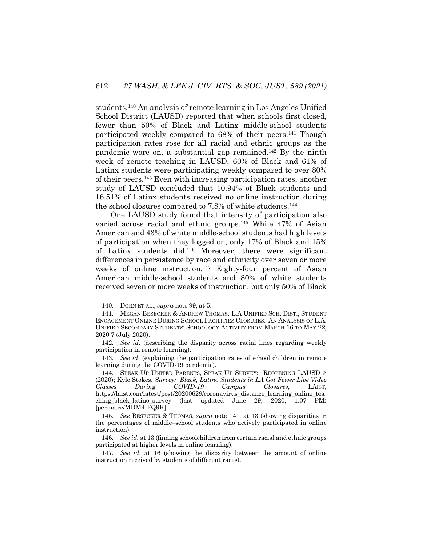students.140 An analysis of remote learning in Los Angeles Unified School District (LAUSD) reported that when schools first closed, fewer than 50% of Black and Latinx middle-school students participated weekly compared to 68% of their peers.141 Though participation rates rose for all racial and ethnic groups as the pandemic wore on, a substantial gap remained.142 By the ninth week of remote teaching in LAUSD, 60% of Black and 61% of Latinx students were participating weekly compared to over 80% of their peers.143 Even with increasing participation rates, another study of LAUSD concluded that 10.94% of Black students and 16.51% of Latinx students received no online instruction during the school closures compared to 7.8% of white students.144

One LAUSD study found that intensity of participation also varied across racial and ethnic groups.145 While 47% of Asian American and 43% of white middle-school students had high levels of participation when they logged on, only 17% of Black and 15% of Latinx students did.146 Moreover, there were significant differences in persistence by race and ethnicity over seven or more weeks of online instruction.147 Eighty-four percent of Asian American middle-school students and 80% of white students received seven or more weeks of instruction, but only 50% of Black

143. *See id*. (explaining the participation rates of school children in remote learning during the COVID-19 pandemic).

<sup>140.</sup> DORN ET AL., *supra* note 99, at 5.

<sup>141.</sup> MEGAN BESECKER & ANDREW THOMAS, L.A UNIFIED SCH. DIST., STUDENT ENGAGEMENT ONLINE DURING SCHOOL FACILITIES CLOSURES: AN ANALYSIS OF L.A. UNIFIED SECONDARY STUDENTS' SCHOOLOGY ACTIVITY FROM MARCH 16 TO MAY 22, 2020 7 (July 2020).

<sup>142.</sup> *See id*. (describing the disparity across racial lines regarding weekly participation in remote learning).

<sup>144.</sup> SPEAK UP UNITED PARENTS, SPEAK UP SURVEY: REOPENING LAUSD 3 (2020); Kyle Stokes, *Survey: Black, Latino Students in LA Got Fewer Live Video Classes During COVID-19 Campus Closures*, LAIST, https://laist.com/latest/post/20200629/coronavirus\_distance\_learning\_online\_tea ching black latino survey (last updated June 29, 2020, 1:07 PM) [perma.cc/MDM4-FQ9K].

<sup>145.</sup> *See* BESECKER & THOMAS, *supra* note 141, at 13 (showing disparities in the percentages of middle–school students who actively participated in online instruction).

<sup>146.</sup> *See id.* at 13 (finding schoolchildren from certain racial and ethnic groups participated at higher levels in online learning).

<sup>147.</sup> *See id*. at 16 (showing the disparity between the amount of online instruction received by students of different races).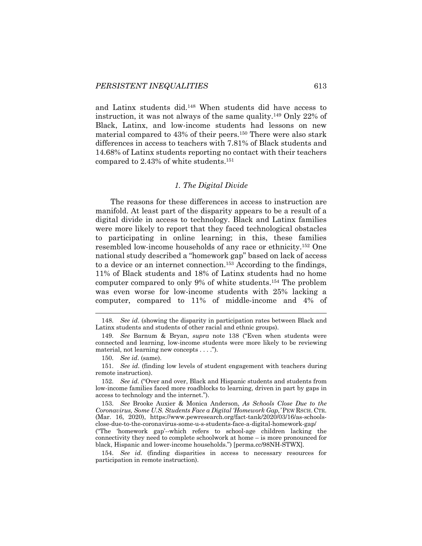and Latinx students did.148 When students did have access to instruction, it was not always of the same quality.149 Only 22% of Black, Latinx, and low-income students had lessons on new material compared to 43% of their peers.<sup>150</sup> There were also stark differences in access to teachers with 7.81% of Black students and 14.68% of Latinx students reporting no contact with their teachers compared to 2.43% of white students.151

### *1. The Digital Divide*

The reasons for these differences in access to instruction are manifold. At least part of the disparity appears to be a result of a digital divide in access to technology. Black and Latinx families were more likely to report that they faced technological obstacles to participating in online learning; in this, these families resembled low-income households of any race or ethnicity.152 One national study described a "homework gap" based on lack of access to a device or an internet connection.153 According to the findings, 11% of Black students and 18% of Latinx students had no home computer compared to only 9% of white students.154 The problem was even worse for low-income students with 25% lacking a computer, compared to 11% of middle-income and 4% of

150. *See id*. (same).

152. *See id*. ("Over and over, Black and Hispanic students and students from low-income families faced more roadblocks to learning, driven in part by gaps in access to technology and the internet.").

153. *See* Brooke Auxier & Monica Anderson, *As Schools Close Due to the Coronavirus, Some U.S. Students Face a Digital 'Homework Gap,'* PEW RSCH. CTR. (Mar. 16, 2020), https://www.pewresearch.org/fact-tank/2020/03/16/as-schoolsclose-due-to-the-coronavirus-some-u-s-students-face-a-digital-homework-gap/ ("The 'homework gap'--which refers to school-age children lacking the

connectivity they need to complete schoolwork at home – is more pronounced for black, Hispanic and lower-income households.") [perma.cc/98NH-STWX].

154. *See id.* (finding disparities in access to necessary resources for participation in remote instruction).

<sup>148.</sup> *See id*. (showing the disparity in participation rates between Black and Latinx students and students of other racial and ethnic groups).

<sup>149.</sup> *See* Barnum & Bryan, *supra* note 138 ("Even when students were connected and learning, low-income students were more likely to be reviewing material, not learning new concepts . . . .").

<sup>151.</sup> *See id*. (finding low levels of student engagement with teachers during remote instruction).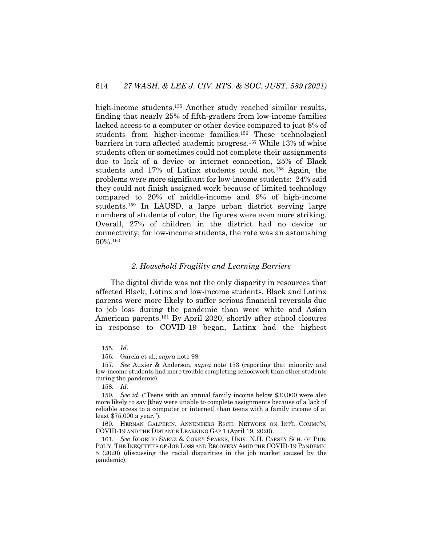high-income students.155 Another study reached similar results, finding that nearly 25% of fifth-graders from low-income families lacked access to a computer or other device compared to just 8% of students from higher-income families.156 These technological barriers in turn affected academic progress.157 While 13% of white students often or sometimes could not complete their assignments due to lack of a device or internet connection, 25% of Black students and 17% of Latinx students could not.158 Again, the problems were more significant for low-income students: 24% said they could not finish assigned work because of limited technology compared to 20% of middle-income and 9% of high-income students.159 In LAUSD, a large urban district serving large numbers of students of color, the figures were even more striking. Overall, 27% of children in the district had no device or connectivity; for low-income students, the rate was an astonishing 50%.160

### *2. Household Fragility and Learning Barriers*

The digital divide was not the only disparity in resources that affected Black, Latinx and low-income students. Black and Latinx parents were more likely to suffer serious financial reversals due to job loss during the pandemic than were white and Asian American parents.<sup>161</sup> By April 2020, shortly after school closures in response to COVID-19 began, Latinx had the highest

<sup>155.</sup> *Id*.

<sup>156.</sup> García et al., *supra* note 98.

<sup>157.</sup> *See* Auxier & Anderson, *supra* note 153 (reporting that minority and low-income students had more trouble completing schoolwork than other students during the pandemic).

<sup>158.</sup> *Id.*

<sup>159.</sup> *See id*. ("Teens with an annual family income below \$30,000 were also more likely to say [they were unable to complete assignments because of a lack of reliable access to a computer or internet] than teens with a family income of at least \$75,000 a year.").

<sup>160.</sup> HERNAN GALPERIN, ANNENBERG RSCH. NETWORK ON INT'L COMMC'N, COVID-19 AND THE DISTANCE LEARNING GAP 1 (April 19, 2020).

<sup>161.</sup> *See* ROGELIO SÁENZ & COREY SPARKS, UNIV. N.H. CARSEY SCH. OF PUB. POL'Y, THE INEQUITIES OF JOB LOSS AND RECOVERY AMID THE COVID-19 PANDEMIC 5 (2020) (discussing the racial disparities in the job market caused by the pandemic).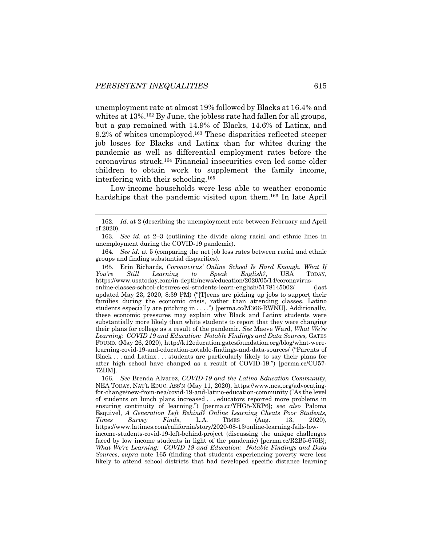unemployment rate at almost 19% followed by Blacks at 16.4% and whites at 13%.<sup>162</sup> By June, the jobless rate had fallen for all groups, but a gap remained with 14.9% of Blacks, 14.6% of Latinx, and 9.2% of whites unemployed.163 These disparities reflected steeper job losses for Blacks and Latinx than for whites during the pandemic as well as differential employment rates before the coronavirus struck.164 Financial insecurities even led some older children to obtain work to supplement the family income, interfering with their schooling.165

Low-income households were less able to weather economic hardships that the pandemic visited upon them.<sup>166</sup> In late April

165. Erin Richards, *Coronavirus' Online School Is Hard Enough. What If You're Still Learning to Speak English?*, USA TODAY, https://www.usatoday.com/in-depth/news/education/2020/05/14/coronavirusonline-classes-school-closures-esl-students-learn-english/5178145002/ (last updated May 23, 2020, 8:39 PM) ("[T]eens are picking up jobs to support their families during the economic crisis, rather than attending classes. Latino students especially are pitching in . . . .") [perma.cc/M366-RWNU]. Additionally, these economic pressures may explain why Black and Latinx students were substantially more likely than white students to report that they were changing their plans for college as a result of the pandemic. *See* Maeve Ward, *What We're*  Learning: COVID 19 and Education: Notable Findings and Data Sources, GATES FOUND. (May 26, 2020), http://k12education.gatesfoundation.org/blog/what-werelearning-covid-19-and-education-notable-findings-and-data-sources/ ("Parents of Black . . . and Latinx . . . students are particularly likely to say their plans for after high school have changed as a result of COVID-19.") [perma.cc/CU57- 7ZDM].

166. *See* Brenda Alvarez, *COVID-19 and the Latino Education Community*, NEA TODAY, NAT'L EDUC. ASS'N (May 11, 2020), https://www.nea.org/advocatingfor-change/new-from-nea/covid-19-and-latino-education-community ("As the level of students on lunch plans increased . . . educators reported more problems in ensuring continuity of learning.") [perma.cc/YHG5-XRP6]; *see also* Paloma Esquivel, *A Generation Left Behind? Online Learning Cheats Poor Students, Times Survey Finds*, L.A. TIMES (Aug. 13, 2020), https://www.latimes.com/california/story/2020-08-13/online-learning-fails-lowincome-students-covid-19-left-behind-project (discussing the unique challenges faced by low income students in light of the pandemic) [perma.cc/R2B5-675B]; *What We're Learning: COVID 19 and Education: Notable Findings and Data Sources*, *supra* note 165 (finding that students experiencing poverty were less likely to attend school districts that had developed specific distance learning

<sup>162.</sup> *Id*. at 2 (describing the unemployment rate between February and April of 2020).

<sup>163.</sup> *See id*. at 2–3 (outlining the divide along racial and ethnic lines in unemployment during the COVID-19 pandemic).

<sup>164.</sup> *See id*. at 5 (comparing the net job loss rates between racial and ethnic groups and finding substantial disparities).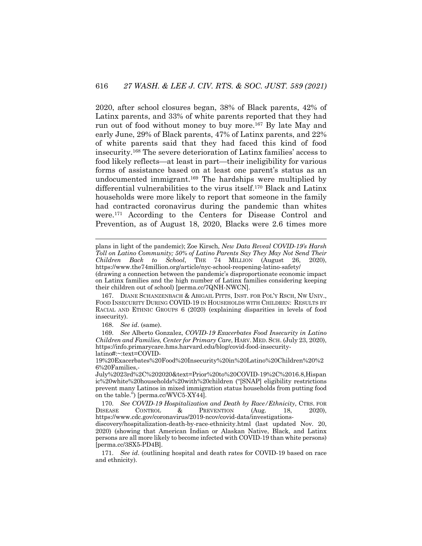2020, after school closures began, 38% of Black parents, 42% of Latinx parents, and 33% of white parents reported that they had run out of food without money to buy more.167 By late May and early June, 29% of Black parents, 47% of Latinx parents, and 22% of white parents said that they had faced this kind of food insecurity.168 The severe deterioration of Latinx families' access to food likely reflects—at least in part—their ineligibility for various forms of assistance based on at least one parent's status as an undocumented immigrant.169 The hardships were multiplied by differential vulnerabilities to the virus itself.170 Black and Latinx households were more likely to report that someone in the family had contracted coronavirus during the pandemic than whites were.171 According to the Centers for Disease Control and Prevention, as of August 18, 2020, Blacks were 2.6 times more

plans in light of the pandemic); Zoe Kirsch, *New Data Reveal COVID-19's Harsh Toll on Latino Community; 50% of Latino Parents Say They May Not Send Their Children Back to School*, THE 74 MILLION (August 26, 2020), https://www.the74million.org/article/nyc-school-reopening-latino-safety/

167. DIANE SCHANZENBACH & ABIGAIL PITTS, INST. FOR POL'Y RSCH, NW UNIV., FOOD INSECURITY DURING COVID-19 IN HOUSEHOLDS WITH CHILDREN: RESULTS BY RACIAL AND ETHNIC GROUPS 6 (2020) (explaining disparities in levels of food insecurity).

168. *See id*. (same).

169. *See* Alberto Gonzalez, *COVID-19 Exacerbates Food Insecurity in Latino Children and Families, Center for Primary Care*, HARV. MED. SCH. (July 23, 2020), https://info.primarycare.hms.harvard.edu/blog/covid-food-insecuritylatino#:~:text=COVID-

19%20Exacerbates%20Food%20Insecurity%20in%20Latino%20Children%20%2 6%20Families,-

July%2023rd%2C%202020&text=Prior%20to%20COVID-19%2C%2016.8,Hispan ic%20white%20households%20with%20children ("[SNAP] eligibility restrictions prevent many Latinos in mixed immigration status households from putting food on the table.") [perma.cc/WVC5-XY44].

170. *See COVID-19 Hospitalization and Death by Race/Ethnicity*, CTRS. FOR<br>
ISEASE CONTROL & PREVENTION (Aug. 18, 2020). DISEASE CONTROL & PREVENTION (Aug. 18, 2020), https://www.cdc.gov/coronavirus/2019-ncov/covid-data/investigations-

discovery/hospitalization-death-by-race-ethnicity.html (last updated Nov. 20, 2020) (showing that American Indian or Alaskan Native, Black, and Latinx persons are all more likely to become infected with COVID-19 than white persons) [perma.cc/3SX5-PD4B].

171. *See id*. (outlining hospital and death rates for COVID-19 based on race and ethnicity).

<sup>(</sup>drawing a connection between the pandemic's disproportionate economic impact on Latinx families and the high number of Latinx families considering keeping their children out of school) [perma.cc/7QNH-NWCN].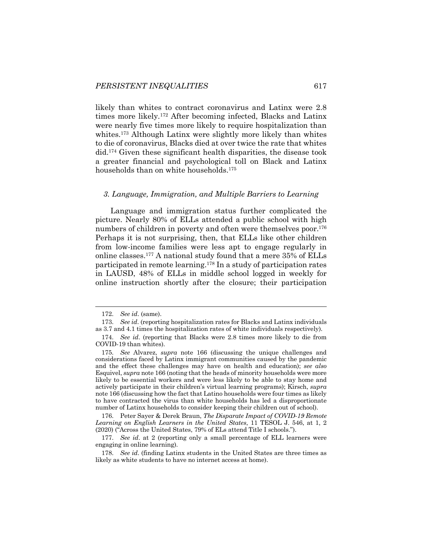likely than whites to contract coronavirus and Latinx were 2.8 times more likely.172 After becoming infected, Blacks and Latinx were nearly five times more likely to require hospitalization than whites.<sup>173</sup> Although Latinx were slightly more likely than whites to die of coronavirus, Blacks died at over twice the rate that whites did.174 Given these significant health disparities, the disease took a greater financial and psychological toll on Black and Latinx households than on white households.175

#### *3. Language, Immigration, and Multiple Barriers to Learning*

Language and immigration status further complicated the picture. Nearly 80% of ELLs attended a public school with high numbers of children in poverty and often were themselves poor.<sup>176</sup> Perhaps it is not surprising, then, that ELLs like other children from low-income families were less apt to engage regularly in online classes.177 A national study found that a mere 35% of ELLs participated in remote learning.178 In a study of participation rates in LAUSD, 48% of ELLs in middle school logged in weekly for online instruction shortly after the closure; their participation

176. Peter Sayer & Derek Braun, *The Disparate Impact of COVID-19 Remote Learning on English Learners in the United States*, 11 TESOL J. 546, at 1, 2 (2020) ("Across the United States, 79% of ELs attend Title I schools.").

177. *See id*. at 2 (reporting only a small percentage of ELL learners were engaging in online learning).

<sup>172.</sup> *See id*. (same).

<sup>173.</sup> *See id*. (reporting hospitalization rates for Blacks and Latinx individuals as 3.7 and 4.1 times the hospitalization rates of white individuals respectively).

<sup>174.</sup> *See id*. (reporting that Blacks were 2.8 times more likely to die from COVID-19 than whites).

<sup>175.</sup> *See* Alvarez, *supra* note 166 (discussing the unique challenges and considerations faced by Latinx immigrant communities caused by the pandemic and the effect these challenges may have on health and education); *see also* Esquivel, *supra* note 166 (noting that the heads of minority households were more likely to be essential workers and were less likely to be able to stay home and actively participate in their children's virtual learning programs); Kirsch, *supra* note 166 (discussing how the fact that Latino households were four times as likely to have contracted the virus than white households has led a disproportionate number of Latinx households to consider keeping their children out of school).

<sup>178.</sup> *See id*. (finding Latinx students in the United States are three times as likely as white students to have no internet access at home).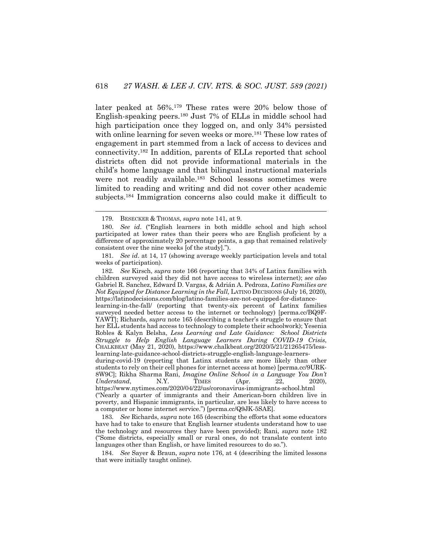later peaked at 56%.179 These rates were 20% below those of English-speaking peers.180 Just 7% of ELLs in middle school had high participation once they logged on, and only 34% persisted with online learning for seven weeks or more.<sup>181</sup> These low rates of engagement in part stemmed from a lack of access to devices and connectivity.182 In addition, parents of ELLs reported that school districts often did not provide informational materials in the child's home language and that bilingual instructional materials were not readily available.<sup>183</sup> School lessons sometimes were limited to reading and writing and did not cover other academic subjects.184 Immigration concerns also could make it difficult to

182. *See* Kirsch, *supra* note 166 (reporting that 34% of Latinx families with children surveyed said they did not have access to wireless internet); *see also* Gabriel R. Sanchez, Edward D. Vargas, & Adrián A. Pedroza, *Latino Families are Not Equipped for Distance Learning in the Fall, LATINO DECISIONS (July 16, 2020),* https://latinodecisions.com/blog/latino-families-are-not-equipped-for-distancelearning-in-the-fall/ (reporting that twenty-six percent of Latinx families surveyed needed better access to the internet or technology) [perma.cc/BQ9F-YAWT]; Richards, *supra* note 165 (describing a teacher's struggle to ensure that her ELL students had access to technology to complete their schoolwork); Yesenia Robles & Kalyn Belsha, *Less Learning and Late Guidance: School Districts Struggle to Help English Language Learners During COVID-19 Crisis*, CHALKBEAT (May 21, 2020), https://www.chalkbeat.org/2020/5/21/21265475/lesslearning-late-guidance-school-districts-struggle-english-language-learnersduring-covid-19 (reporting that Latinx students are more likely than other students to rely on their cell phones for internet access at home) [perma.cc/9URK-8W9C]; Rikha Sharma Rani, *Imagine Online School in a Language You Don't Understand*, N.Y. TIMES (Apr. 22, 2020), https://www.nytimes.com/2020/04/22/us/coronavirus-immigrants-school.html ("Nearly a quarter of immigrants and their American-born children live in poverty, and Hispanic immigrants, in particular, are less likely to have access to a computer or home internet service.") [perma.cc/Q9JK-5SAE].

183. *See* Richards, *supra* note 165 (describing the efforts that some educators have had to take to ensure that English learner students understand how to use the technology and resources they have been provided); Rani, *supra* note 182 ("Some districts, especially small or rural ones, do not translate content into languages other than English, or have limited resources to do so.").

184. *See* Sayer & Braun, *supra* note 176, at 4 (describing the limited lessons that were initially taught online).

<sup>179.</sup> BESECKER & THOMAS, *supra* note 141, at 9.

<sup>180.</sup> *See id*. ("English learners in both middle school and high school participated at lower rates than their peers who are English proficient by a difference of approximately 20 percentage points, a gap that remained relatively consistent over the nine weeks [of the study].").

<sup>181.</sup> *See id*. at 14, 17 (showing average weekly participation levels and total weeks of participation).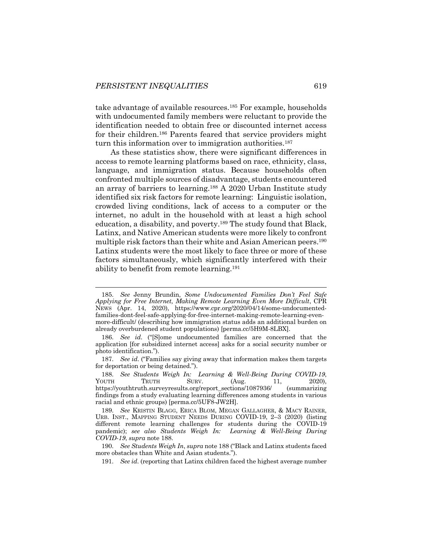take advantage of available resources.<sup>185</sup> For example, households with undocumented family members were reluctant to provide the identification needed to obtain free or discounted internet access for their children.186 Parents feared that service providers might turn this information over to immigration authorities.<sup>187</sup>

As these statistics show, there were significant differences in access to remote learning platforms based on race, ethnicity, class, language, and immigration status. Because households often confronted multiple sources of disadvantage, students encountered an array of barriers to learning.188 A 2020 Urban Institute study identified six risk factors for remote learning: Linguistic isolation, crowded living conditions, lack of access to a computer or the internet, no adult in the household with at least a high school education, a disability, and poverty.<sup>189</sup> The study found that Black, Latinx, and Native American students were more likely to confront multiple risk factors than their white and Asian American peers.190 Latinx students were the most likely to face three or more of these factors simultaneously, which significantly interfered with their ability to benefit from remote learning.191

<sup>185.</sup> *See* Jenny Brundin, *Some Undocumented Families Don't Feel Safe Applying for Free Internet, Making Remote Learning Even More Difficult*, CPR NEWS (Apr. 14, 2020), https://www.cpr.org/2020/04/14/some-undocumentedfamilies-dont-feel-safe-applying-for-free-internet-making-remote-learning-evenmore-difficult/ (describing how immigration status adds an additional burden on already overburdened student populations) [perma.cc/5H9M-8LBX].

<sup>186.</sup> *See id*. ("[S]ome undocumented families are concerned that the application [for subsidized internet access] asks for a social security number or photo identification.").

<sup>187.</sup> *See id*. ("Families say giving away that information makes them targets for deportation or being detained.").

<sup>188.</sup> *See Students Weigh In: Learning & Well-Being During COVID-19*, YOUTH TRUTH SURV. (Aug. 11, 2020), https://youthtruth.surveyresults.org/report\_sections/1087936/ (summarizing findings from a study evaluating learning differences among students in various racial and ethnic groups) [perma.cc/5UF8-JW2H].

<sup>189.</sup> *See* KRISTIN BLAGG, ERICA BLOM, MEGAN GALLAGHER, & MACY RAINER, URB. INST., MAPPING STUDENT NEEDS DURING COVID-19, 2–3 (2020) (listing different remote learning challenges for students during the COVID-19 pandemic); *see also Students Weigh In: Learning & Well-Being During COVID-19*, *supra* note 188.

<sup>190.</sup> *See Students Weigh In*, *supra* note 188 ("Black and Latinx students faced more obstacles than White and Asian students.").

<sup>191.</sup> *See id*. (reporting that Latinx children faced the highest average number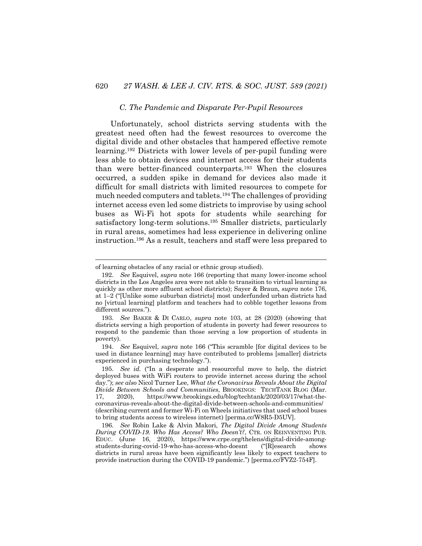#### *C. The Pandemic and Disparate Per-Pupil Resources*

Unfortunately, school districts serving students with the greatest need often had the fewest resources to overcome the digital divide and other obstacles that hampered effective remote learning.192 Districts with lower levels of per-pupil funding were less able to obtain devices and internet access for their students than were better-financed counterparts.193 When the closures occurred, a sudden spike in demand for devices also made it difficult for small districts with limited resources to compete for much needed computers and tablets.194 The challenges of providing internet access even led some districts to improvise by using school buses as Wi-Fi hot spots for students while searching for satisfactory long-term solutions.<sup>195</sup> Smaller districts, particularly in rural areas, sometimes had less experience in delivering online instruction.196 As a result, teachers and staff were less prepared to

of learning obstacles of any racial or ethnic group studied).

<sup>192.</sup> *See* Esquivel, *supra* note 166 (reporting that many lower-income school districts in the Los Angeles area were not able to transition to virtual learning as quickly as other more affluent school districts); Sayer & Braun, *supra* note 176, at 1–2 ("[Unlike some suburban districts] most underfunded urban districts had no [virtual learning] platform and teachers had to cobble together lessons from different sources.").

<sup>193.</sup> *See* BAKER & DI CARLO, *supra* note 103, at 28 (2020) (showing that districts serving a high proportion of students in poverty had fewer resources to respond to the pandemic than those serving a low proportion of students in poverty).

<sup>194.</sup> *See* Esquivel, *supra* note 166 ("This scramble [for digital devices to be used in distance learning] may have contributed to problems [smaller] districts experienced in purchasing technology.").

<sup>195.</sup> *See id.* ("In a desperate and resourceful move to help, the district deployed buses with WiFi routers to provide internet access during the school day."); *see also* Nicol Turner Lee, *What the Coronavirus Reveals About the Digital Divide Between Schools and Communities*, BROOKINGS: TECHTANK BLOG (Mar. 17, 2020), https://www.brookings.edu/blog/techtank/2020/03/17/what-thecoronavirus-reveals-about-the-digital-divide-between-schools-and-communities/ (describing current and former Wi-Fi on Wheels initiatives that used school buses to bring students access to wireless internet) [perma.cc/W8R5-D5UV].

<sup>196.</sup> *See* Robin Lake & Alvin Makori, *The Digital Divide Among Students During COVID-19. Who Has Access? Who Doesn't?*, CTR. ON REINVENTING PUB. EDUC. (June 16, 2020), https://www.crpe.org/thelens/digital-divide-amongstudents-during-covid-19-who-has-access-who-doesnt ("[R]esearch shows districts in rural areas have been significantly less likely to expect teachers to provide instruction during the COVID-19 pandemic.") [perma.cc/FVZ2-754F].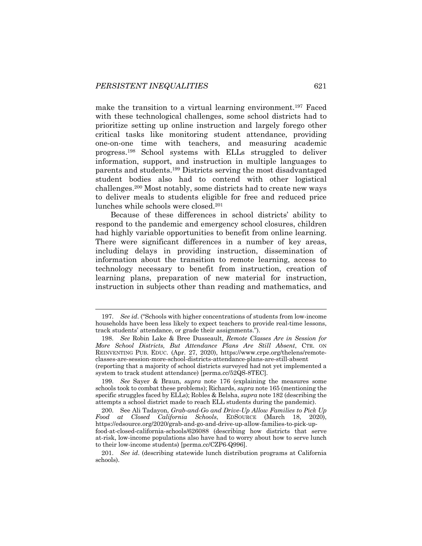make the transition to a virtual learning environment.<sup>197</sup> Faced with these technological challenges, some school districts had to prioritize setting up online instruction and largely forego other critical tasks like monitoring student attendance, providing one-on-one time with teachers, and measuring academic progress.198 School systems with ELLs struggled to deliver information, support, and instruction in multiple languages to parents and students.199 Districts serving the most disadvantaged student bodies also had to contend with other logistical challenges.200 Most notably, some districts had to create new ways to deliver meals to students eligible for free and reduced price lunches while schools were closed.201

Because of these differences in school districts' ability to respond to the pandemic and emergency school closures, children had highly variable opportunities to benefit from online learning. There were significant differences in a number of key areas, including delays in providing instruction, dissemination of information about the transition to remote learning, access to technology necessary to benefit from instruction, creation of learning plans, preparation of new material for instruction, instruction in subjects other than reading and mathematics, and

system to track student attendance) [perma.cc/52QS-8TEC].

<sup>197.</sup> *See id*. ("Schools with higher concentrations of students from low-income households have been less likely to expect teachers to provide real-time lessons, track students' attendance, or grade their assignments.").

<sup>198.</sup> *See* Robin Lake & Bree Dusseault, *Remote Classes Are in Session for More School Districts, But Attendance Plans Are Still Absent*, CTR. ON REINVENTING PUB. EDUC. (Apr. 27, 2020), https://www.crpe.org/thelens/remoteclasses-are-session-more-school-districts-attendance-plans-are-still-absent (reporting that a majority of school districts surveyed had not yet implemented a

<sup>199.</sup> *See* Sayer & Braun, *supra* note 176 (explaining the measures some schools took to combat these problems); Richards, *supra* note 165 (mentioning the specific struggles faced by ELLs); Robles & Belsha, *supra* note 182 (describing the attempts a school district made to reach ELL students during the pandemic).

<sup>200.</sup> See Ali Tadayon, *Grab-and-Go and Drive-Up Allow Families to Pick Up Food at Closed California Schools*, EDSOURCE (March 18, 2020), https://edsource.org/2020/grab-and-go-and-drive-up-allow-families-to-pick-upfood-at-closed-california-schools/626088 (describing how districts that serve at-risk, low-income populations also have had to worry about how to serve lunch to their low-income students) [perma.cc/CZP6-Q996].

<sup>201.</sup> *See id*. (describing statewide lunch distribution programs at California schools).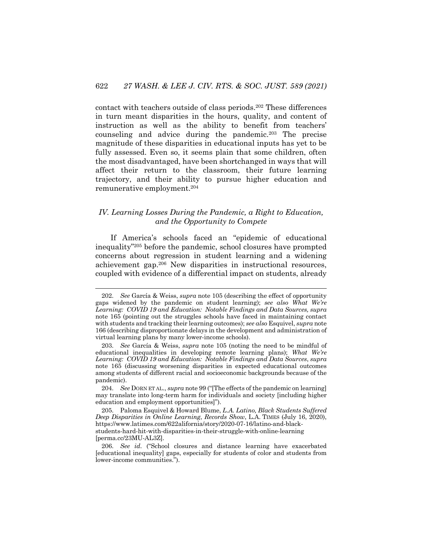contact with teachers outside of class periods.202 These differences in turn meant disparities in the hours, quality, and content of instruction as well as the ability to benefit from teachers' counseling and advice during the pandemic.203 The precise magnitude of these disparities in educational inputs has yet to be fully assessed. Even so, it seems plain that some children, often the most disadvantaged, have been shortchanged in ways that will affect their return to the classroom, their future learning trajectory, and their ability to pursue higher education and remunerative employment.204

## *IV. Learning Losses During the Pandemic, a Right to Education, and the Opportunity to Compete*

If America's schools faced an "epidemic of educational inequality"205 before the pandemic, school closures have prompted concerns about regression in student learning and a widening achievement gap.206 New disparities in instructional resources, coupled with evidence of a differential impact on students, already

<sup>202.</sup> *See* García & Weiss, *supra* note 105 (describing the effect of opportunity gaps widened by the pandemic on student learning); *see also What We're Learning: COVID 19 and Education: Notable Findings and Data Sources, supra* note 165 (pointing out the struggles schools have faced in maintaining contact with students and tracking their learning outcomes); *see also* Esquivel, *supra* note 166 (describing disproportionate delays in the development and administration of virtual learning plans by many lower-income schools).

<sup>203.</sup> *See* García & Weiss, *supra* note 105 (noting the need to be mindful of educational inequalities in developing remote learning plans); *What We're Learning: COVID 19 and Education: Notable Findings and Data Sources*, *supra* note 165 (discussing worsening disparities in expected educational outcomes among students of different racial and socioeconomic backgrounds because of the pandemic).

<sup>204.</sup> *See* DORN ET AL., *supra* note 99 ("[The effects of the pandemic on learning] may translate into long-term harm for individuals and society [including higher education and employment opportunities]").

<sup>205.</sup> Paloma Esquivel & Howard Blume, *L.A. Latino, Black Students Suffered Deep Disparities in Online Learning*, *Records Show*, L.A. TIMES (July 16, 2020), https://www.latimes.com/622alifornia/story/2020-07-16/latino-and-blackstudents-hard-hit-with-disparities-in-their-struggle-with-online-learning [perma.cc/23MU-AL3Z].

<sup>206.</sup> *See id*. ("School closures and distance learning have exacerbated [educational inequality] gaps, especially for students of color and students from lower-income communities.").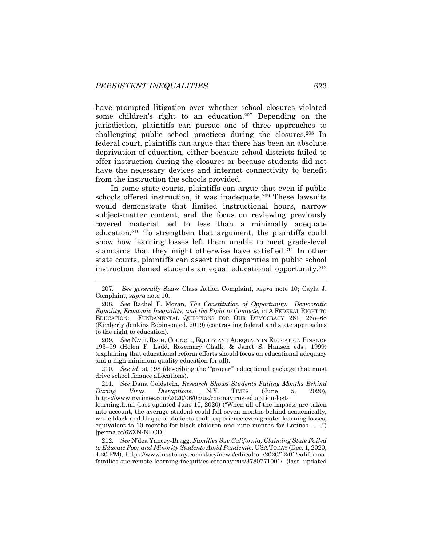have prompted litigation over whether school closures violated some children's right to an education.<sup>207</sup> Depending on the jurisdiction, plaintiffs can pursue one of three approaches to challenging public school practices during the closures.208 In federal court, plaintiffs can argue that there has been an absolute deprivation of education, either because school districts failed to offer instruction during the closures or because students did not have the necessary devices and internet connectivity to benefit from the instruction the schools provided.

In some state courts, plaintiffs can argue that even if public schools offered instruction, it was inadequate.209 These lawsuits would demonstrate that limited instructional hours, narrow subject-matter content, and the focus on reviewing previously covered material led to less than a minimally adequate education.210 To strengthen that argument, the plaintiffs could show how learning losses left them unable to meet grade-level standards that they might otherwise have satisfied.211 In other state courts, plaintiffs can assert that disparities in public school instruction denied students an equal educational opportunity.212

209. *See* NAT'L RSCH. COUNCIL, EQUITY AND ADEQUACY IN EDUCATION FINANCE 193–99 (Helen F. Ladd, Rosemary Chalk, & Janet S. Hansen eds., 1999) (explaining that educational reform efforts should focus on educational adequacy and a high-minimum quality education for all).

210. *See id*. at 198 (describing the '"proper'" educational package that must drive school finance allocations).

211. *See* Dana Goldstein, *Research Shows Students Falling Months Behind During Virus Disruptions*, N.Y. TIMES (June 5, 2020), https://www.nytimes.com/2020/06/05/us/coronavirus-education-lost-

learning.html (last updated June 10, 2020) ("When all of the impacts are taken into account, the average student could fall seven months behind academically, while black and Hispanic students could experience even greater learning losses, equivalent to 10 months for black children and nine months for Latinos . . . .") [perma.cc/6ZXN-NPCD].

212. *See* N'dea Yancey-Bragg, *Families Sue California, Claiming State Failed to Educate Poor and Minority Students Amid Pandemic*, USA TODAY (Dec. 1, 2020, 4:30 PM), https://www.usatoday.com/story/news/education/2020/12/01/californiafamilies-sue-remote-learning-inequities-coronavirus/3780771001/ (last updated

<sup>207.</sup> *See generally* Shaw Class Action Complaint, *supra* note 10; Cayla J. Complaint, *supra* note 10.

<sup>208.</sup> *See* Rachel F. Moran, *The Constitution of Opportunity: Democratic Equality, Economic Inequality, and the Right to Compete*, in A FEDERAL RIGHT TO EDUCATION: FUNDAMENTAL QUESTIONS FOR OUR DEMOCRACY 261, 265–68 (Kimberly Jenkins Robinson ed. 2019) (contrasting federal and state approaches to the right to education).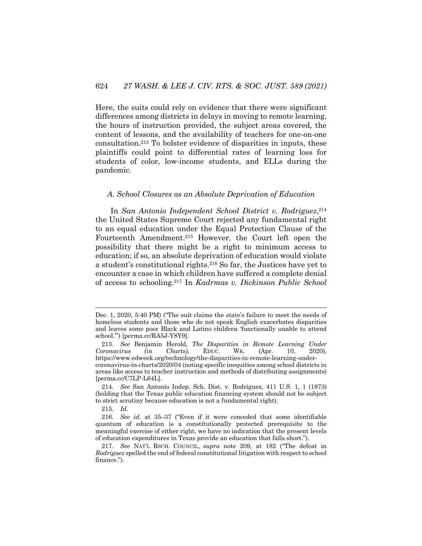Here, the suits could rely on evidence that there were significant differences among districts in delays in moving to remote learning, the hours of instruction provided, the subject areas covered, the content of lessons, and the availability of teachers for one-on-one consultation.213 To bolster evidence of disparities in inputs, these plaintiffs could point to differential rates of learning loss for students of color, low-income students, and ELLs during the pandemic.

#### *A. School Closures as an Absolute Deprivation of Education*

In *San Antonio Independent School District v. Rodriguez*, 214 the United States Supreme Court rejected any fundamental right to an equal education under the Equal Protection Clause of the Fourteenth Amendment.215 However, the Court left open the possibility that there might be a right to minimum access to education; if so, an absolute deprivation of education would violate a student's constitutional rights.216 So far, the Justices have yet to encounter a case in which children have suffered a complete denial of access to schooling.217 In *Kadrmas v. Dickinson Public School* 

Dec. 1, 2020, 5:40 PM) ("The suit claims the state's failure to meet the needs of homeless students and those who do not speak English exacerbates disparities and leaves some poor Black and Latino children 'functionally unable to attend school.'") [perma.cc/RA5J-Y8Y9].

<sup>213.</sup> *See* Benjamin Herold, *The Disparities in Remote Learning Under Coronavirus (in Charts)*, EDUC. WK. (Apr. 10, 2020), https://www.edweek.org/technology/the-disparities-in-remote-learning-undercoronavirus-in-charts/2020/04 (noting specific inequities among school districts in areas like access to teacher instruction and methods of distributing assignments) [perma.cc/C7LP-L64L].

<sup>214.</sup> *See* San Antonio Indep. Sch. Dist. v. Rodriguez, 411 U.S. 1, 1 (1973) (holding that the Texas public education financing system should not be subject to strict scrutiny because education is not a fundamental right).

<sup>215.</sup> *Id.*

<sup>216.</sup> *See id*. at 35–37 ("Even if it were conceded that some identifiable quantum of education is a constitutionally protected prerequisite to the meaningful exercise of either right, we have no indication that the present levels of education expenditures in Texas provide an education that falls short.").

<sup>217.</sup> *See* NAT'L RSCH. COUNCIL, *supra* note 209, at 182 ("The defeat in *Rodriguez* spelled the end of federal constitutional litigation with respect to school finance.").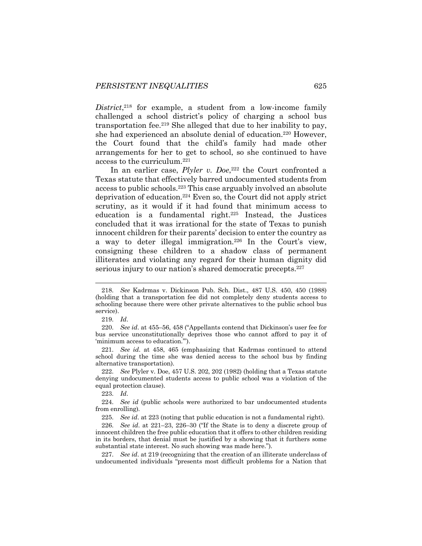District,<sup>218</sup> for example, a student from a low-income family challenged a school district's policy of charging a school bus transportation fee.219 She alleged that due to her inability to pay, she had experienced an absolute denial of education.220 However, the Court found that the child's family had made other arrangements for her to get to school, so she continued to have access to the curriculum.221

In an earlier case, *Plyler v. Doe*, <sup>222</sup> the Court confronted a Texas statute that effectively barred undocumented students from access to public schools.223 This case arguably involved an absolute deprivation of education.224 Even so, the Court did not apply strict scrutiny, as it would if it had found that minimum access to education is a fundamental right.<sup>225</sup> Instead, the Justices concluded that it was irrational for the state of Texas to punish innocent children for their parents' decision to enter the country as a way to deter illegal immigration.226 In the Court's view, consigning these children to a shadow class of permanent illiterates and violating any regard for their human dignity did serious injury to our nation's shared democratic precepts.<sup>227</sup>

221. *See id*. at 458, 465 (emphasizing that Kadrmas continued to attend school during the time she was denied access to the school bus by finding alternative transportation).

222. *See* Plyler v. Doe, 457 U.S. 202, 202 (1982) (holding that a Texas statute denying undocumented students access to public school was a violation of the equal protection clause).

223. *Id*.

224. *See id* (public schools were authorized to bar undocumented students from enrolling)*.*

225. *See id*. at 223 (noting that public education is not a fundamental right).

226. *See id*. at 221–23, 226–30 ("If the State is to deny a discrete group of innocent children the free public education that it offers to other children residing in its borders, that denial must be justified by a showing that it furthers some substantial state interest. No such showing was made here.").

227. *See id*. at 219 (recognizing that the creation of an illiterate underclass of undocumented individuals "presents most difficult problems for a Nation that

<sup>218.</sup> *See* Kadrmas v. Dickinson Pub. Sch. Dist., 487 U.S. 450, 450 (1988) (holding that a transportation fee did not completely deny students access to schooling because there were other private alternatives to the public school bus service).

<sup>219.</sup> *Id*.

<sup>220.</sup> *See id*. at 455–56, 458 ("Appellants contend that Dickinson's user fee for bus service unconstitutionally deprives those who cannot afford to pay it of 'minimum access to education.'").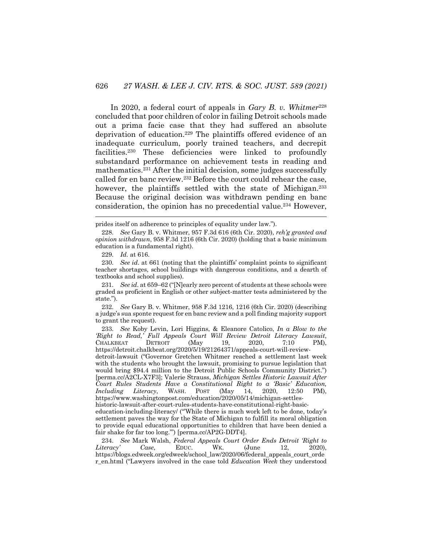In 2020, a federal court of appeals in *Gary B. v. Whitmer*<sup>228</sup> concluded that poor children of color in failing Detroit schools made out a prima facie case that they had suffered an absolute deprivation of education.229 The plaintiffs offered evidence of an inadequate curriculum, poorly trained teachers, and decrepit facilities.230 These deficiencies were linked to profoundly substandard performance on achievement tests in reading and mathematics.231 After the initial decision, some judges successfully called for en banc review.232 Before the court could rehear the case, however, the plaintiffs settled with the state of Michigan.<sup>233</sup> Because the original decision was withdrawn pending en banc consideration, the opinion has no precedential value.234 However,

231. *See id*. at 659–62 ("[N]early zero percent of students at these schools were graded as proficient in English or other subject-matter tests administered by the state.").

232. *See* Gary B. v. Whitmer, 958 F.3d 1216, 1216 (6th Cir. 2020) (describing a judge's sua sponte request for en banc review and a poll finding majority support to grant the request).

detroit-lawsuit ("Governor Gretchen Whitmer reached a settlement last week with the students who brought the lawsuit, promising to pursue legislation that would bring \$94.4 million to the Detroit Public Schools Community District.") [perma.cc/A2CL-X7F3]; Valerie Strauss, *Michigan Settles Historic Lawsuit After Court Rules Students Have a Constitutional Right to a 'Basic' Education, Including Literacy*, WASH. POST (May 14, 2020, 12:50 PM). *Including Literacy*, WASH. POST (May 14, 2020, 12:50 PM), https://www.washingtonpost.com/education/2020/05/14/michigan-settles-

historic-lawsuit-after-court-rules-students-have-constitutional-right-basic-

education-including-literacy/ ("'While there is much work left to be done, today's settlement paves the way for the State of Michigan to fulfill its moral obligation to provide equal educational opportunities to children that have been denied a fair shake for far too long.'") [perma.cc/AP2G-DDT4].

234. *See* Mark Walsh, *Federal Appeals Court Order Ends Detroit 'Right to Literacy' Case*, EDUC. WK. (June 12, 2020), https://blogs.edweek.org/edweek/school\_law/2020/06/federal\_appeals\_court\_orde r\_en.html ("Lawyers involved in the case told *Education Week* they understood

prides itself on adherence to principles of equality under law.").

<sup>228.</sup> *See* Gary B. v. Whitmer, 957 F.3d 616 (6th Cir. 2020), *reh'g granted and opinion withdrawn*, 958 F.3d 1216 (6th Cir. 2020) (holding that a basic minimum education is a fundamental right).

<sup>229.</sup> *Id.* at 616.

<sup>230.</sup> *See id*. at 661 (noting that the plaintiffs' complaint points to significant teacher shortages, school buildings with dangerous conditions, and a dearth of textbooks and school supplies).

<sup>233.</sup> *See* Koby Levin, Lori Higgins, & Eleanore Catolico, *In a Blow to the 'Right to Read,' Full Appeals Court Will Review Detroit Literacy Lawsuit*, CHALKBEAT DETROIT (May 19, 2020, 7:10 PM), https://detroit.chalkbeat.org/2020/5/19/21264371/appeals-court-will-review-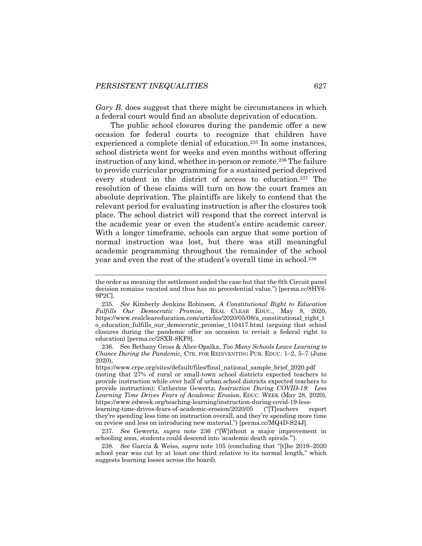*Gary B.* does suggest that there might be circumstances in which a federal court would find an absolute deprivation of education.

The public school closures during the pandemic offer a new occasion for federal courts to recognize that children have experienced a complete denial of education.235 In some instances, school districts went for weeks and even months without offering instruction of any kind, whether in-person or remote.<sup>236</sup> The failure to provide curricular programming for a sustained period deprived every student in the district of access to education.<sup>237</sup> The resolution of these claims will turn on how the court frames an absolute deprivation. The plaintiffs are likely to contend that the relevant period for evaluating instruction is after the closures took place. The school district will respond that the correct interval is the academic year or even the student's entire academic career. With a longer timeframe, schools can argue that some portion of normal instruction was lost, but there was still meaningful academic programming throughout the remainder of the school year and even the rest of the student's overall time in school.238

the order as meaning the settlement ended the case but that the 6th Circuit panel decision remains vacated and thus has no precedential value.") [perma.cc/8HY6- 9P2C].

<sup>235.</sup> *See* Kimberly Jenkins Robinson, *A Constitutional Right to Education Fulfills Our Democratic Promise*, REAL CLEAR EDUC., May 8, 2020, https://www.realcleareducation.com/articles/2020/05/08/a\_constitutional\_right\_t o\_education\_fulfills\_our\_democratic\_promise\_110417.html (arguing that school closures during the pandemic offer an occasion to revisit a federal right to education) [perma.cc/2SXR-8KF9].

<sup>236.</sup> See Bethany Gross & Alice Opalka, *Too Many Schools Leave Learning to Chance During the Pandemic,* CTR. FOR REINVENTING PUB. EDUC. 1–2, 5–7 (June 2020),

https://www.crpe.org/sites/default/files/final\_national\_sample\_brief\_2020.pdf (noting that 27% of rural or small-town school districts expected teachers to provide instruction while over half of urban school districts expected teachers to provide instruction); Catherine Gewertz, *Instruction During COVID-19: Less Learning Time Drives Fears of Academic Erosion*, EDUC. WEEK (May 28, 2020), https://www.edweek.org/teaching-learning/instruction-during-covid-19-less-

learning-time-drives-fears-of-academic-erosion/2020/05 ("[T]eachers report they're spending less time on instruction overall, and they're spending more time on review and less on introducing new material.") [perma.cc/MQ4D-S24J].

<sup>237.</sup> *See* Gewertz, *supra* note 236 ("[W]ithout a major improvement in schooling soon, students could descend into 'academic death spirals.'").

<sup>238.</sup> *See* García & Weiss, *supra* note 105 (concluding that "[t]he 2019–2020 school year was cut by at least one third relative to its normal length," which suggests learning losses across the board).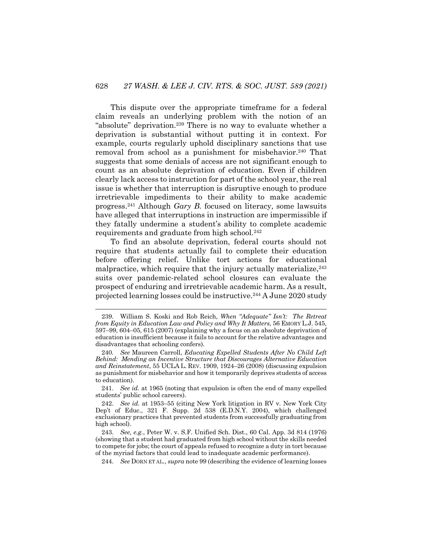This dispute over the appropriate timeframe for a federal claim reveals an underlying problem with the notion of an "absolute" deprivation.<sup>239</sup> There is no way to evaluate whether a deprivation is substantial without putting it in context. For example, courts regularly uphold disciplinary sanctions that use removal from school as a punishment for misbehavior.<sup>240</sup> That suggests that some denials of access are not significant enough to count as an absolute deprivation of education. Even if children clearly lack access to instruction for part of the school year, the real issue is whether that interruption is disruptive enough to produce irretrievable impediments to their ability to make academic progress.241 Although *Gary B.* focused on literacy, some lawsuits have alleged that interruptions in instruction are impermissible if they fatally undermine a student's ability to complete academic requirements and graduate from high school.<sup>242</sup>

To find an absolute deprivation, federal courts should not require that students actually fail to complete their education before offering relief. Unlike tort actions for educational malpractice, which require that the injury actually materialize,  $243$ suits over pandemic-related school closures can evaluate the prospect of enduring and irretrievable academic harm. As a result, projected learning losses could be instructive.244 A June 2020 study

244. *See* DORN ET AL., *supra* note 99 (describing the evidence of learning losses

<sup>239.</sup> William S. Koski and Rob Reich, *When "Adequate" Isn't: The Retreat from Equity in Education Law and Policy and Why It Matters,* 56 EMORY L.J. 545, 597–99, 604–05, 615 (2007) (explaining why a focus on an absolute deprivation of education is insufficient because it fails to account for the relative advantages and disadvantages that schooling confers).

<sup>240.</sup> *See* Maureen Carroll, *Educating Expelled Students After No Child Left Behind: Mending an Incentive Structure that Discourages Alternative Education and Reinstatement*, 55 UCLA L. REV. 1909, 1924–26 (2008) (discussing expulsion as punishment for misbehavior and how it temporarily deprives students of access to education).

<sup>241.</sup> *See id.* at 1965 (noting that expulsion is often the end of many expelled students' public school careers).

<sup>242.</sup> *See id*. at 1953–55 (citing New York litigation in RV v. New York City Dep't of Educ., 321 F. Supp. 2d 538 (E.D.N.Y. 2004), which challenged exclusionary practices that prevented students from successfully graduating from high school).

<sup>243.</sup> *See, e.g.*, Peter W. v. S.F. Unified Sch. Dist., 60 Cal. App. 3d 814 (1976) (showing that a student had graduated from high school without the skills needed to compete for jobs; the court of appeals refused to recognize a duty in tort because of the myriad factors that could lead to inadequate academic performance).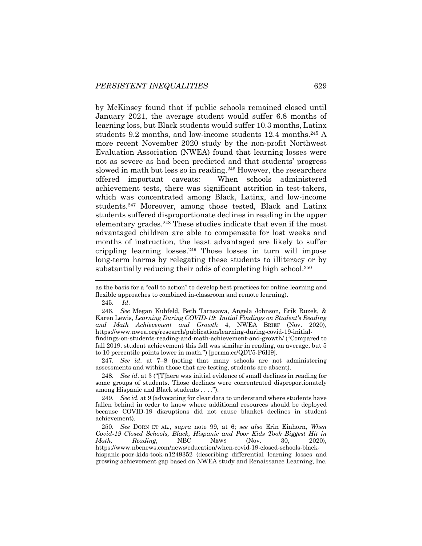by McKinsey found that if public schools remained closed until January 2021, the average student would suffer 6.8 months of learning loss, but Black students would suffer 10.3 months, Latinx students 9.2 months, and low-income students 12.4 months.<sup>245</sup> A more recent November 2020 study by the non-profit Northwest Evaluation Association (NWEA) found that learning losses were not as severe as had been predicted and that students' progress slowed in math but less so in reading.<sup>246</sup> However, the researchers offered important caveats: When schools administered achievement tests, there was significant attrition in test-takers, which was concentrated among Black, Latinx, and low-income students.247 Moreover, among those tested, Black and Latinx students suffered disproportionate declines in reading in the upper elementary grades.<sup>248</sup> These studies indicate that even if the most advantaged children are able to compensate for lost weeks and months of instruction, the least advantaged are likely to suffer crippling learning losses.249 Those losses in turn will impose long-term harms by relegating these students to illiteracy or by substantially reducing their odds of completing high school.<sup>250</sup>

245. *Id*.

246. *See* Megan Kuhfeld, Beth Tarasawa, Angela Johnson, Erik Ruzek, & Karen Lewis, *Learning During COVID-19: Initial Findings on Student's Reading and Math Achievement and Growth* 4, NWEA BRIEF (Nov. 2020), https://www.nwea.org/research/publication/learning-during-covid-19-initialfindings-on-students-reading-and-math-achievement-and-growth/ ("Compared to fall 2019, student achievement this fall was similar in reading, on average, but 5

to 10 percentile points lower in math.") [perma.cc/QDT5-P6H9]. 247. *See id*. at 7–8 (noting that many schools are not administering assessments and within those that are testing, students are absent).

248. *See id*. at 3 ("[T]here was initial evidence of small declines in reading for some groups of students. Those declines were concentrated disproportionately among Hispanic and Black students . . . .").

249. *See id.* at 9 (advocating for clear data to understand where students have fallen behind in order to know where additional resources should be deployed because COVID-19 disruptions did not cause blanket declines in student achievement).

250. *See* DORN ET AL., *supra* note 99, at 6; *see also* Erin Einhorn, *When Covid-19 Closed Schools, Black, Hispanic and Poor Kids Took Biggest Hit in Math, Reading*, NBC NEWS (Nov. 30, 2020), https://www.nbcnews.com/news/education/when-covid-19-closed-schools-black-

hispanic-poor-kids-took-n1249352 (describing differential learning losses and growing achievement gap based on NWEA study and Renaissance Learning, Inc.

as the basis for a "call to action" to develop best practices for online learning and flexible approaches to combined in-classroom and remote learning).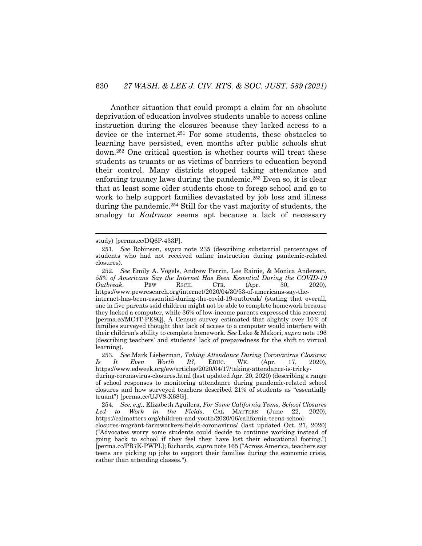Another situation that could prompt a claim for an absolute deprivation of education involves students unable to access online instruction during the closures because they lacked access to a device or the internet.251 For some students, these obstacles to learning have persisted, even months after public schools shut down.252 One critical question is whether courts will treat these students as truants or as victims of barriers to education beyond their control. Many districts stopped taking attendance and enforcing truancy laws during the pandemic.<sup>253</sup> Even so, it is clear that at least some older students chose to forego school and go to work to help support families devastated by job loss and illness during the pandemic.254 Still for the vast majority of students, the analogy to *Kadrmas* seems apt because a lack of necessary

study) [perma.cc/DQ6P-433P].

<sup>251.</sup> *See* Robinson, *supra* note 235 (describing substantial percentages of students who had not received online instruction during pandemic-related closures).

<sup>252.</sup> *See* Emily A. Vogels, Andrew Perrin, Lee Rainie, & Monica Anderson, *53% of Americans Say the Internet Has Been Essential During the COVID-19 Outbreak*, PEW RSCH. CTR. (Apr. 30, 2020), https://www.pewresearch.org/internet/2020/04/30/53-of-americans-say-theinternet-has-been-essential-during-the-covid-19-outbreak/ (stating that overall, one in five parents said children might not be able to complete homework because they lacked a computer, while 36% of low-income parents expressed this concern) [perma.cc/MC4T-PE8Q]. A Census survey estimated that slightly over 10% of families surveyed thought that lack of access to a computer would interfere with their children's ability to complete homework. *See* Lake & Makori, *supra* note 196 (describing teachers' and students' lack of preparedness for the shift to virtual learning).

<sup>253.</sup> *See* Mark Lieberman, *Taking Attendance During Coronavirus Closures: Is It Even Worth It?,* EDUC. WK. (Apr. 17, 2020), https://www.edweek.org/ew/articles/2020/04/17/taking-attendance-is-tricky-

during-coronavirus-closures.html (last updated Apr. 20, 2020) (describing a range of school responses to monitoring attendance during pandemic-related school closures and how surveyed teachers described 21% of students as "essentially truant") [perma.cc/UJV8-X68G].

<sup>254.</sup> *See, e.g.*, Elizabeth Aguilera, *For Some California Teens, School Closures Led to Work in the Fields*, CAL MATTERS (June 22, 2020), https://calmatters.org/children-and-youth/2020/06/california-teens-school-

closures-migrant-farmworkers-fields-coronavirus/ (last updated Oct. 21, 2020) ("Advocates worry some students could decide to continue working instead of going back to school if they feel they have lost their educational footing.") [perma.cc/PB7K-PWPL]; Richards, *supra* note 165 ("Across America, teachers say teens are picking up jobs to support their families during the economic crisis, rather than attending classes.").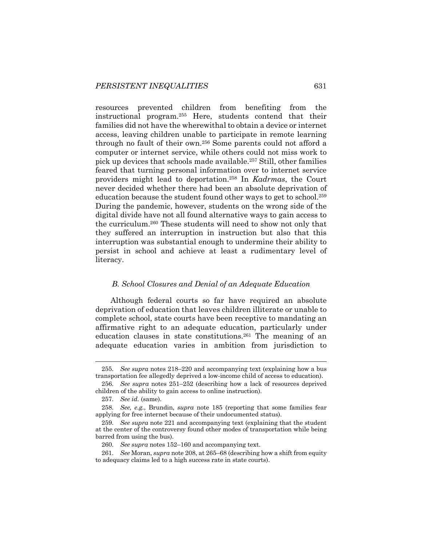resources prevented children from benefiting from the instructional program.255 Here, students contend that their families did not have the wherewithal to obtain a device or internet access, leaving children unable to participate in remote learning through no fault of their own.256 Some parents could not afford a computer or internet service, while others could not miss work to pick up devices that schools made available.257 Still, other families feared that turning personal information over to internet service providers might lead to deportation.258 In *Kadrmas*, the Court never decided whether there had been an absolute deprivation of education because the student found other ways to get to school.259 During the pandemic, however, students on the wrong side of the digital divide have not all found alternative ways to gain access to the curriculum.260 These students will need to show not only that they suffered an interruption in instruction but also that this interruption was substantial enough to undermine their ability to persist in school and achieve at least a rudimentary level of literacy.

#### *B. School Closures and Denial of an Adequate Education*

Although federal courts so far have required an absolute deprivation of education that leaves children illiterate or unable to complete school, state courts have been receptive to mandating an affirmative right to an adequate education, particularly under education clauses in state constitutions.<sup>261</sup> The meaning of an adequate education varies in ambition from jurisdiction to

<sup>255.</sup> *See supra* notes 218–220 and accompanying text (explaining how a bus transportation fee allegedly deprived a low-income child of access to education).

<sup>256.</sup> *See supra* notes 251–252 (describing how a lack of resources deprived children of the ability to gain access to online instruction).

<sup>257.</sup> *See id.* (same).

<sup>258.</sup> *See, e.g.*, Brundin, *supra* note 185 (reporting that some families fear applying for free internet because of their undocumented status).

<sup>259.</sup> *See supra* note 221 and accompanying text (explaining that the student at the center of the controversy found other modes of transportation while being barred from using the bus).

<sup>260.</sup> *See supra* notes 152–160 and accompanying text.

<sup>261.</sup> *See* Moran, *supra* note 208, at 265–68 (describing how a shift from equity to adequacy claims led to a high success rate in state courts).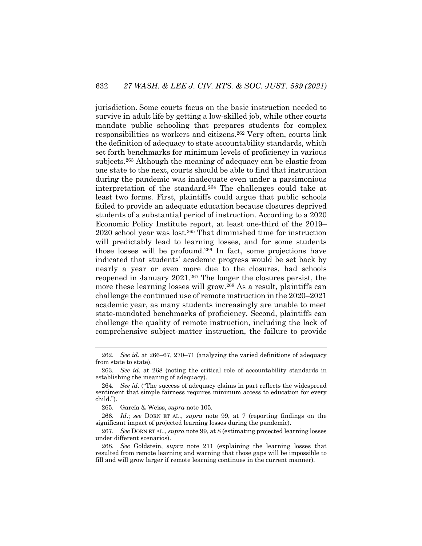jurisdiction. Some courts focus on the basic instruction needed to survive in adult life by getting a low-skilled job, while other courts mandate public schooling that prepares students for complex responsibilities as workers and citizens.262 Very often, courts link the definition of adequacy to state accountability standards, which set forth benchmarks for minimum levels of proficiency in various subjects.263 Although the meaning of adequacy can be elastic from one state to the next, courts should be able to find that instruction during the pandemic was inadequate even under a parsimonious interpretation of the standard.264 The challenges could take at least two forms. First, plaintiffs could argue that public schools failed to provide an adequate education because closures deprived students of a substantial period of instruction. According to a 2020 Economic Policy Institute report, at least one-third of the 2019– 2020 school year was lost.265 That diminished time for instruction will predictably lead to learning losses, and for some students those losses will be profound.266 In fact, some projections have indicated that students' academic progress would be set back by nearly a year or even more due to the closures, had schools reopened in January 2021.267 The longer the closures persist, the more these learning losses will grow.<sup>268</sup> As a result, plaintiffs can challenge the continued use of remote instruction in the 2020–2021 academic year, as many students increasingly are unable to meet state-mandated benchmarks of proficiency. Second, plaintiffs can challenge the quality of remote instruction, including the lack of comprehensive subject-matter instruction, the failure to provide

<sup>262.</sup> *See id*. at 266–67, 270–71 (analyzing the varied definitions of adequacy from state to state).

<sup>263.</sup> *See id*. at 268 (noting the critical role of accountability standards in establishing the meaning of adequacy).

<sup>264.</sup> *See id.* ("The success of adequacy claims in part reflects the widespread sentiment that simple fairness requires minimum access to education for every child.").

<sup>265.</sup> García & Weiss, *supra* note 105.

<sup>266.</sup> *Id*.; *see* DORN ET AL., *supra* note 99, at 7 (reporting findings on the significant impact of projected learning losses during the pandemic).

<sup>267.</sup> *See* DORN ET AL., *supra* note 99, at 8 (estimating projected learning losses under different scenarios).

<sup>268.</sup> *See* Goldstein, *supra* note 211 (explaining the learning losses that resulted from remote learning and warning that those gaps will be impossible to fill and will grow larger if remote learning continues in the current manner).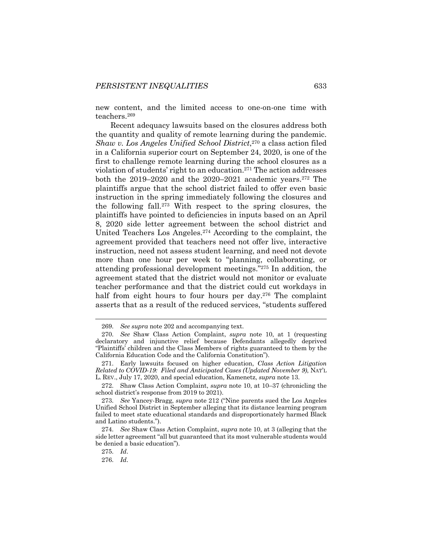new content, and the limited access to one-on-one time with teachers.269

Recent adequacy lawsuits based on the closures address both the quantity and quality of remote learning during the pandemic. *Shaw v. Los Angeles Unified School District*, <sup>270</sup> a class action filed in a California superior court on September 24, 2020, is one of the first to challenge remote learning during the school closures as a violation of students' right to an education.271 The action addresses both the 2019–2020 and the 2020–2021 academic years.<sup>272</sup> The plaintiffs argue that the school district failed to offer even basic instruction in the spring immediately following the closures and the following fall.273 With respect to the spring closures, the plaintiffs have pointed to deficiencies in inputs based on an April 8, 2020 side letter agreement between the school district and United Teachers Los Angeles.274 According to the complaint, the agreement provided that teachers need not offer live, interactive instruction, need not assess student learning, and need not devote more than one hour per week to "planning, collaborating, or attending professional development meetings."275 In addition, the agreement stated that the district would not monitor or evaluate teacher performance and that the district could cut workdays in half from eight hours to four hours per day.276 The complaint asserts that as a result of the reduced services, "students suffered

<sup>269.</sup> *See supra* note 202 and accompanying text.

<sup>270.</sup> *See* Shaw Class Action Complaint, *supra* note 10, at 1 (requesting declaratory and injunctive relief because Defendants allegedly deprived "Plaintiffs' children and the Class Members of rights guaranteed to them by the California Education Code and the California Constitution").

<sup>271.</sup> Early lawsuits focused on higher education, *Class Action Litigation Related to COVID-19: Filed and Anticipated Cases (Updated November 9)*, NAT'L L. REV., July 17, 2020, and special education, Kamenetz, *supra* note 13.

<sup>272.</sup> Shaw Class Action Complaint, *supra* note 10, at 10–37 (chronicling the school district's response from 2019 to 2021).

<sup>273.</sup> *See* Yancey-Bragg, *supra* note 212 ("Nine parents sued the Los Angeles Unified School District in September alleging that its distance learning program failed to meet state educational standards and disproportionately harmed Black and Latino students.").

<sup>274.</sup> *See* Shaw Class Action Complaint, *supra* note 10, at 3 (alleging that the side letter agreement "all but guaranteed that its most vulnerable students would be denied a basic education").

<sup>275.</sup> *Id*.

<sup>276.</sup> *Id*.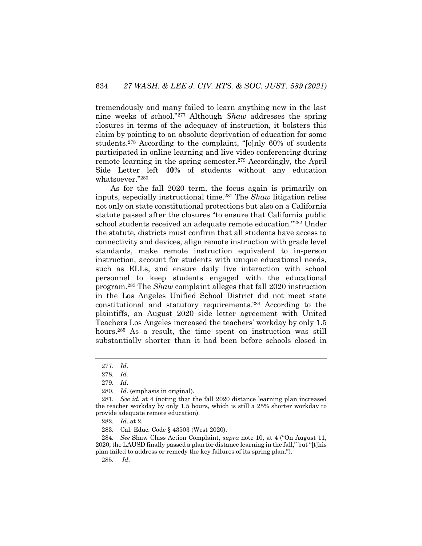tremendously and many failed to learn anything new in the last nine weeks of school."277 Although *Shaw* addresses the spring closures in terms of the adequacy of instruction, it bolsters this claim by pointing to an absolute deprivation of education for some students.278 According to the complaint, "[o]nly 60% of students participated in online learning and live video conferencing during remote learning in the spring semester.279 Accordingly, the April Side Letter left **40%** of students without any education whatsoever."280

As for the fall 2020 term, the focus again is primarily on inputs, especially instructional time.281 The *Shaw* litigation relies not only on state constitutional protections but also on a California statute passed after the closures "to ensure that California public school students received an adequate remote education."282 Under the statute, districts must confirm that all students have access to connectivity and devices, align remote instruction with grade level standards, make remote instruction equivalent to in-person instruction, account for students with unique educational needs, such as ELLs, and ensure daily live interaction with school personnel to keep students engaged with the educational program.283 The *Shaw* complaint alleges that fall 2020 instruction in the Los Angeles Unified School District did not meet state constitutional and statutory requirements.284 According to the plaintiffs, an August 2020 side letter agreement with United Teachers Los Angeles increased the teachers' workday by only 1.5 hours.<sup>285</sup> As a result, the time spent on instruction was still substantially shorter than it had been before schools closed in

284. *See* Shaw Class Action Complaint, *supra* note 10, at 4 ("On August 11, 2020, the LAUSD finally passed a plan for distance learning in the fall," but "[t]his plan failed to address or remedy the key failures of its spring plan.").

285. *Id*.

<sup>277.</sup> *Id*.

<sup>278.</sup> *Id.*

<sup>279.</sup> *Id*.

<sup>280.</sup> *Id*. (emphasis in original).

<sup>281.</sup> *See id.* at 4 (noting that the fall 2020 distance learning plan increased the teacher workday by only 1.5 hours, which is still a 25% shorter workday to provide adequate remote education).

<sup>282.</sup> *Id*. at 2.

<sup>283.</sup> Cal. Educ. Code § 43503 (West 2020).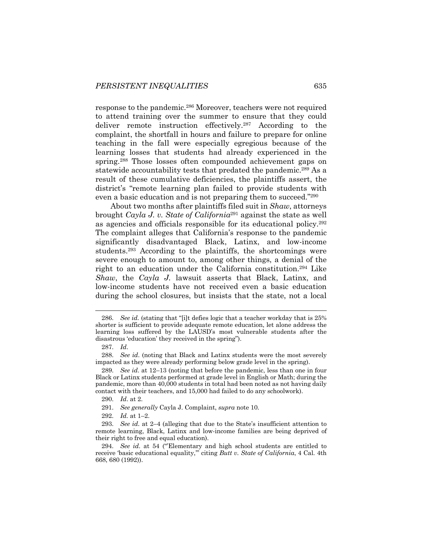response to the pandemic.286 Moreover, teachers were not required to attend training over the summer to ensure that they could deliver remote instruction effectively.287 According to the complaint, the shortfall in hours and failure to prepare for online teaching in the fall were especially egregious because of the learning losses that students had already experienced in the spring.<sup>288</sup> Those losses often compounded achievement gaps on statewide accountability tests that predated the pandemic.<sup>289</sup> As a result of these cumulative deficiencies, the plaintiffs assert, the district's "remote learning plan failed to provide students with even a basic education and is not preparing them to succeed."290

About two months after plaintiffs filed suit in *Shaw*, attorneys brought *Cayla J. v. State of California*<sup>291</sup> against the state as well as agencies and officials responsible for its educational policy.292 The complaint alleges that California's response to the pandemic significantly disadvantaged Black, Latinx, and low-income students.293 According to the plaintiffs, the shortcomings were severe enough to amount to, among other things, a denial of the right to an education under the California constitution.294 Like *Shaw*, the *Cayla J.* lawsuit asserts that Black, Latinx, and low-income students have not received even a basic education during the school closures, but insists that the state, not a local

<sup>286.</sup> *See id.* (stating that "[i]t defies logic that a teacher workday that is 25% shorter is sufficient to provide adequate remote education, let alone address the learning loss suffered by the LAUSD's most vulnerable students after the disastrous 'education' they received in the spring").

<sup>287.</sup> *Id*.

<sup>288.</sup> *See id*. (noting that Black and Latinx students were the most severely impacted as they were already performing below grade level in the spring).

<sup>289.</sup> *See id*. at 12–13 (noting that before the pandemic, less than one in four Black or Latinx students performed at grade level in English or Math; during the pandemic, more than 40,000 students in total had been noted as not having daily contact with their teachers, and 15,000 had failed to do any schoolwork).

<sup>290.</sup> *Id*. at 2.

<sup>291.</sup> *See generally* Cayla J. Complaint, *supra* note 10.

<sup>292.</sup> *Id.* at 1–2.

<sup>293.</sup> *See id*. at 2–4 (alleging that due to the State's insufficient attention to remote learning, Black, Latinx and low-income families are being deprived of their right to free and equal education).

<sup>294.</sup> *See id*. at 54 ("'Elementary and high school students are entitled to receive 'basic educational equality,'" citing *Butt v. State of California*, 4 Cal. 4th 668, 680 (1992)).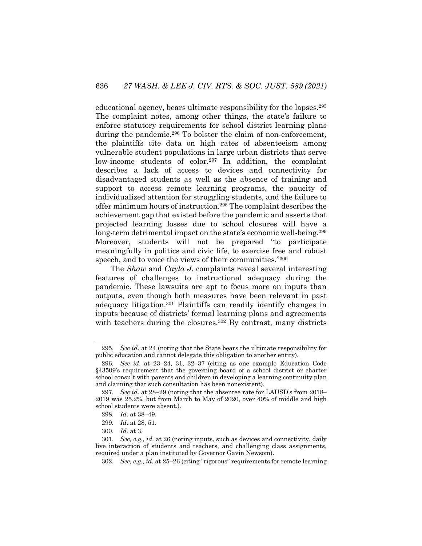educational agency, bears ultimate responsibility for the lapses.295 The complaint notes, among other things, the state's failure to enforce statutory requirements for school district learning plans during the pandemic.<sup>296</sup> To bolster the claim of non-enforcement, the plaintiffs cite data on high rates of absenteeism among vulnerable student populations in large urban districts that serve low-income students of color.<sup>297</sup> In addition, the complaint describes a lack of access to devices and connectivity for disadvantaged students as well as the absence of training and support to access remote learning programs, the paucity of individualized attention for struggling students, and the failure to offer minimum hours of instruction.298 The complaint describes the achievement gap that existed before the pandemic and asserts that projected learning losses due to school closures will have a long-term detrimental impact on the state's economic well-being.<sup>299</sup> Moreover, students will not be prepared "to participate meaningfully in politics and civic life, to exercise free and robust speech, and to voice the views of their communities."<sup>300</sup>

The *Shaw* and *Cayla J.* complaints reveal several interesting features of challenges to instructional adequacy during the pandemic. These lawsuits are apt to focus more on inputs than outputs, even though both measures have been relevant in past adequacy litigation.301 Plaintiffs can readily identify changes in inputs because of districts' formal learning plans and agreements with teachers during the closures.<sup>302</sup> By contrast, many districts

302. *See, e.g., id*. at 25–26 (citing "rigorous" requirements for remote learning

<sup>295.</sup> *See id*. at 24 (noting that the State bears the ultimate responsibility for public education and cannot delegate this obligation to another entity).

<sup>296.</sup> *See id*. at 23–24, 31, 32–37 (citing as one example Education Code §43509's requirement that the governing board of a school district or charter school consult with parents and children in developing a learning continuity plan and claiming that such consultation has been nonexistent).

<sup>297.</sup> *See id*. at 28–29 (noting that the absentee rate for LAUSD's from 2018– 2019 was 25.2%, but from March to May of 2020, over 40% of middle and high school students were absent.).

<sup>298.</sup> *Id*. at 38–49.

<sup>299.</sup> *Id*. at 28, 51.

<sup>300.</sup> *Id*. at 3.

<sup>301.</sup> *See, e.g., id*. at 26 (noting inputs, such as devices and connectivity, daily live interaction of students and teachers, and challenging class assignments, required under a plan instituted by Governor Gavin Newsom).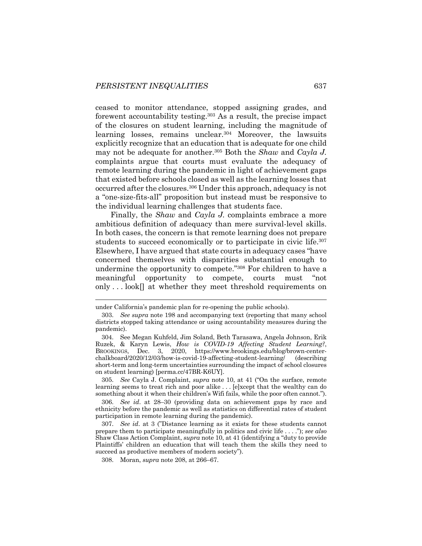ceased to monitor attendance, stopped assigning grades, and forewent accountability testing.303 As a result, the precise impact of the closures on student learning, including the magnitude of learning losses, remains unclear.304 Moreover, the lawsuits explicitly recognize that an education that is adequate for one child may not be adequate for another.305 Both the *Shaw* and *Cayla J.* complaints argue that courts must evaluate the adequacy of remote learning during the pandemic in light of achievement gaps that existed before schools closed as well as the learning losses that occurred after the closures.306 Under this approach, adequacy is not a "one-size-fits-all" proposition but instead must be responsive to the individual learning challenges that students face.

Finally, the *Shaw* and *Cayla J.* complaints embrace a more ambitious definition of adequacy than mere survival-level skills. In both cases, the concern is that remote learning does not prepare students to succeed economically or to participate in civic life.<sup>307</sup> Elsewhere, I have argued that state courts in adequacy cases "have concerned themselves with disparities substantial enough to undermine the opportunity to compete."308 For children to have a meaningful opportunity to compete, courts must "not only . . . look[] at whether they meet threshold requirements on

305. *See* Cayla J. Complaint, *supra* note 10, at 41 ("On the surface, remote learning seems to treat rich and poor alike . . . [e]xcept that the wealthy can do something about it when their children's Wifi fails, while the poor often cannot.").

under California's pandemic plan for re-opening the public schools).

<sup>303.</sup> *See supra* note 198 and accompanying text (reporting that many school districts stopped taking attendance or using accountability measures during the pandemic).

<sup>304.</sup> See Megan Kuhfeld, Jim Soland, Beth Tarasawa, Angela Johnson, Erik Ruzek, & Karyn Lewis, *How is COVID-19 Affecting Student Learning?*, BROOKINGS, Dec. 3, 2020, https://www.brookings.edu/blog/brown-centerchalkboard/2020/12/03/how-is-covid-19-affecting-student-learning/ (describing short-term and long-term uncertainties surrounding the impact of school closures on student learning) [perma.cc/47BR-K6UY].

<sup>306.</sup> *See id*. at 28–30 (providing data on achievement gaps by race and ethnicity before the pandemic as well as statistics on differential rates of student participation in remote learning during the pandemic).

<sup>307.</sup> *See id*. at 3 ("Distance learning as it exists for these students cannot prepare them to participate meaningfully in politics and civic life . . . ."); *see also*  Shaw Class Action Complaint, *supra* note 10, at 41 (identifying a "duty to provide Plaintiffs' children an education that will teach them the skills they need to succeed as productive members of modern society").

<sup>308.</sup> Moran, *supra* note 208, at 266–67.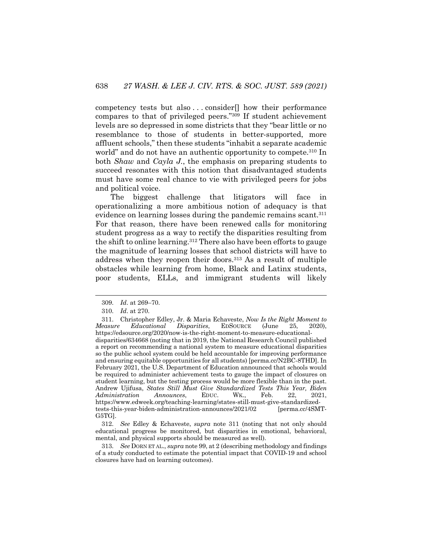competency tests but also . . . consider[] how their performance compares to that of privileged peers."309 If student achievement levels are so depressed in some districts that they "bear little or no resemblance to those of students in better-supported, more affluent schools," then these students "inhabit a separate academic world" and do not have an authentic opportunity to compete.<sup>310</sup> In both *Shaw* and *Cayla J.*, the emphasis on preparing students to succeed resonates with this notion that disadvantaged students must have some real chance to vie with privileged peers for jobs and political voice.

The biggest challenge that litigators will face in operationalizing a more ambitious notion of adequacy is that evidence on learning losses during the pandemic remains scant.<sup>311</sup> For that reason, there have been renewed calls for monitoring student progress as a way to rectify the disparities resulting from the shift to online learning.312 There also have been efforts to gauge the magnitude of learning losses that school districts will have to address when they reopen their doors.<sup>313</sup> As a result of multiple obstacles while learning from home, Black and Latinx students, poor students, ELLs, and immigrant students will likely

312. *See* Edley & Echaveste, *supra* note 311 (noting that not only should educational progress be monitored, but disparities in emotional, behavioral, mental, and physical supports should be measured as well).

313. *See* DORN ET AL., *supra* note 99, at 2 (describing methodology and findings of a study conducted to estimate the potential impact that COVID-19 and school closures have had on learning outcomes).

<sup>309.</sup> *Id*. at 269–70.

<sup>310.</sup> *Id*. at 270.

<sup>311.</sup> Christopher Edley, Jr. & Maria Echaveste, *Now Is the Right Moment to Measure Educational Disparities*, EDSOURCE (June 25, 2020), https://edsource.org/2020/now-is-the-right-moment-to-measure-educationaldisparities/634668 (noting that in 2019, the National Research Council published a report on recommending a national system to measure educational disparities so the public school system could be held accountable for improving performance and ensuring equitable opportunities for all students) [perma.cc/N2BC-8THD]. In February 2021, the U.S. Department of Education announced that schools would be required to administer achievement tests to gauge the impact of closures on student learning, but the testing process would be more flexible than in the past. Andrew Ujifusa, *States Still Must Give Standardized Tests This Year, Biden Administration Announces*, EDUC. WK., Feb. 22, 2021, https://www.edweek.org/teaching-learning/states-still-must-give-standardizedtests-this-year-biden-administration-announces/2021/02 [perma.cc/4SMT-G5TG].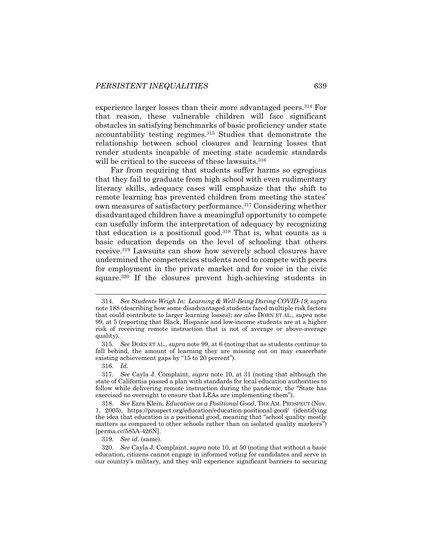experience larger losses than their more advantaged peers.<sup>314</sup> For that reason, these vulnerable children will face significant obstacles in satisfying benchmarks of basic proficiency under state accountability testing regimes.315 Studies that demonstrate the relationship between school closures and learning losses that render students incapable of meeting state academic standards will be critical to the success of these lawsuits.<sup>316</sup>

Far from requiring that students suffer harms so egregious that they fail to graduate from high school with even rudimentary literacy skills, adequacy cases will emphasize that the shift to remote learning has prevented children from meeting the states' own measures of satisfactory performance.317 Considering whether disadvantaged children have a meaningful opportunity to compete can usefully inform the interpretation of adequacy by recognizing that education is a positional good.<sup>318</sup> That is, what counts as a basic education depends on the level of schooling that others receive.319 Lawsuits can show how severely school closures have undermined the competencies students need to compete with peers for employment in the private market and for voice in the civic square.<sup>320</sup> If the closures prevent high-achieving students in

316. *Id*.

319. *See id.* (same).

<sup>314.</sup> *See Students Weigh In: Learning & Well-Being During COVID-19*, *supra* note 188 (describing how some disadvantaged students faced multiple risk factors that could contribute to larger learning losses); *see also* DORN ET AL., *supra* note 99, at 5 (reporting that Black, Hispanic and low-income students are at a higher risk of receiving remote instruction that is not of average or above-average quality).

<sup>315.</sup> *See* DORN ET AL., *supra* note 99, at 6 (noting that as students continue to fall behind, the amount of learning they are missing out on may exacerbate existing achievement gaps by "15 to 20 percent").

<sup>317.</sup> *See* Cayla J. Complaint, *supra* note 10, at 31 (noting that although the state of California passed a plan with standards for local education authorities to follow while delivering remote instruction during the pandemic, the "State has exercised no oversight to ensure that LEAs are implementing them").

<sup>318.</sup> *See* Ezra Klein, *Education as a Positional Good*, THE AM. PROSPECT (Nov. 1, 2005), https://prospect.org/education/education-positional-good/ (identifying the idea that education is a positional good, meaning that "school quality mostly matters as compared to other schools rather than on isolated quality markers") [perma.cc/585A-426N].

<sup>320.</sup> *See* Cayla J. Complaint, *supra* note 10, at 50 (noting that without a basic education, citizens cannot engage in informed voting for candidates and serve in our country's military, and they will experience significant barriers to securing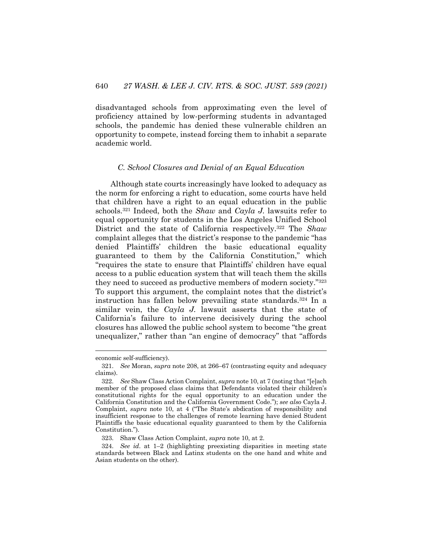disadvantaged schools from approximating even the level of proficiency attained by low-performing students in advantaged schools, the pandemic has denied these vulnerable children an opportunity to compete, instead forcing them to inhabit a separate academic world.

#### *C. School Closures and Denial of an Equal Education*

Although state courts increasingly have looked to adequacy as the norm for enforcing a right to education, some courts have held that children have a right to an equal education in the public schools.321 Indeed, both the *Shaw* and *Cayla J.* lawsuits refer to equal opportunity for students in the Los Angeles Unified School District and the state of California respectively.322 The *Shaw*  complaint alleges that the district's response to the pandemic "has denied Plaintiffs' children the basic educational equality guaranteed to them by the California Constitution," which "requires the state to ensure that Plaintiffs' children have equal access to a public education system that will teach them the skills they need to succeed as productive members of modern society."323 To support this argument, the complaint notes that the district's instruction has fallen below prevailing state standards.324 In a similar vein, the *Cayla J.* lawsuit asserts that the state of California's failure to intervene decisively during the school closures has allowed the public school system to become "the great unequalizer," rather than "an engine of democracy" that "affords

economic self-sufficiency).

<sup>321.</sup> *See* Moran, *supra* note 208, at 266–67 (contrasting equity and adequacy claims).

<sup>322.</sup> *See* Shaw Class Action Complaint, *supra* note 10, at 7 (noting that "[e]ach member of the proposed class claims that Defendants violated their children's constitutional rights for the equal opportunity to an education under the California Constitution and the California Government Code."); *see also* Cayla J. Complaint, *supra* note 10, at 4 ("The State's abdication of responsibility and insufficient response to the challenges of remote learning have denied Student Plaintiffs the basic educational equality guaranteed to them by the California Constitution.").

<sup>323.</sup> Shaw Class Action Complaint, *supra* note 10, at 2.

<sup>324.</sup> *See id*. at 1–2 (highlighting preexisting disparities in meeting state standards between Black and Latinx students on the one hand and white and Asian students on the other).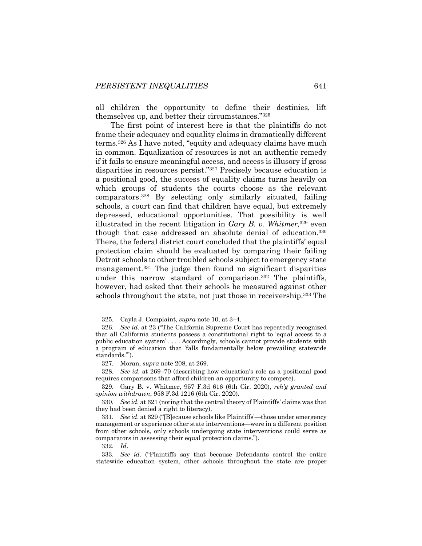all children the opportunity to define their destinies, lift themselves up, and better their circumstances."325

The first point of interest here is that the plaintiffs do not frame their adequacy and equality claims in dramatically different terms.326 As I have noted, "equity and adequacy claims have much in common. Equalization of resources is not an authentic remedy if it fails to ensure meaningful access, and access is illusory if gross disparities in resources persist."327 Precisely because education is a positional good, the success of equality claims turns heavily on which groups of students the courts choose as the relevant comparators.328 By selecting only similarly situated, failing schools, a court can find that children have equal, but extremely depressed, educational opportunities. That possibility is well illustrated in the recent litigation in *Gary B. v. Whitmer,*<sup>329</sup> even though that case addressed an absolute denial of education.330 There, the federal district court concluded that the plaintiffs' equal protection claim should be evaluated by comparing their failing Detroit schools to other troubled schools subject to emergency state management.<sup>331</sup> The judge then found no significant disparities under this narrow standard of comparison.332 The plaintiffs, however, had asked that their schools be measured against other schools throughout the state, not just those in receivership.<sup>333</sup> The

<sup>325.</sup> Cayla J. Complaint, *supra* note 10, at 3–4.

<sup>326.</sup> *See id*. at 23 ("The California Supreme Court has repeatedly recognized that all California students possess a constitutional right to 'equal access to a public education system' . . . . Accordingly, schools cannot provide students with a program of education that 'falls fundamentally below prevailing statewide standards.'").

<sup>327.</sup> Moran, *supra* note 208, at 269.

<sup>328.</sup> *See id*. at 269–70 (describing how education's role as a positional good requires comparisons that afford children an opportunity to compete).

<sup>329.</sup> Gary B. v. Whitmer, 957 F.3d 616 (6th Cir. 2020), *reh'g granted and opinion withdrawn*, 958 F.3d 1216 (6th Cir. 2020).

<sup>330.</sup> *See id*. at 621 (noting that the central theory of Plaintiffs' claims was that they had been denied a right to literacy).

<sup>331.</sup> *See id*. at 629 ("[B]ecause schools like Plaintiffs'—those under emergency management or experience other state interventions—were in a different position from other schools, only schools undergoing state interventions could serve as comparators in assessing their equal protection claims.").

<sup>332.</sup> *Id*.

<sup>333.</sup> *See id*. ("Plaintiffs say that because Defendants control the entire statewide education system, other schools throughout the state are proper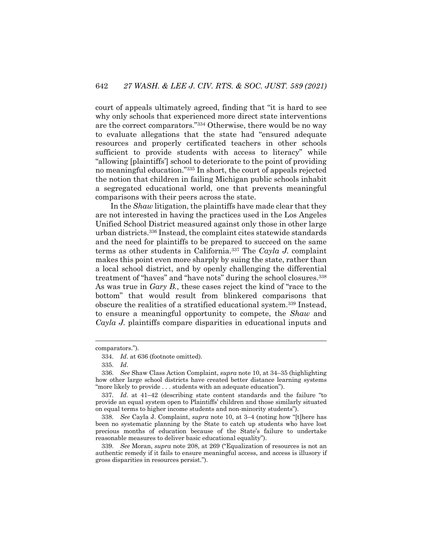court of appeals ultimately agreed, finding that "it is hard to see why only schools that experienced more direct state interventions are the correct comparators."334 Otherwise, there would be no way to evaluate allegations that the state had "ensured adequate resources and properly certificated teachers in other schools sufficient to provide students with access to literacy" while "allowing [plaintiffs'] school to deteriorate to the point of providing no meaningful education."335 In short, the court of appeals rejected the notion that children in failing Michigan public schools inhabit a segregated educational world, one that prevents meaningful comparisons with their peers across the state.

In the *Shaw* litigation, the plaintiffs have made clear that they are not interested in having the practices used in the Los Angeles Unified School District measured against only those in other large urban districts.336 Instead, the complaint cites statewide standards and the need for plaintiffs to be prepared to succeed on the same terms as other students in California.337 The *Cayla J.* complaint makes this point even more sharply by suing the state, rather than a local school district, and by openly challenging the differential treatment of "haves" and "have nots" during the school closures.338 As was true in *Gary B.*, these cases reject the kind of "race to the bottom" that would result from blinkered comparisons that obscure the realities of a stratified educational system.339 Instead, to ensure a meaningful opportunity to compete, the *Shaw* and *Cayla J.* plaintiffs compare disparities in educational inputs and

comparators.").

<sup>334.</sup> *Id*. at 636 (footnote omitted).

<sup>335.</sup> *Id*.

<sup>336.</sup> *See* Shaw Class Action Complaint, *supra* note 10, at 34–35 (highlighting how other large school districts have created better distance learning systems "more likely to provide . . . students with an adequate education").

<sup>337.</sup> *Id*. at 41–42 (describing state content standards and the failure "to provide an equal system open to Plaintiffs' children and those similarly situated on equal terms to higher income students and non-minority students").

<sup>338.</sup> *See* Cayla J. Complaint, *supra* note 10, at 3–4 (noting how "[t]here has been no systematic planning by the State to catch up students who have lost precious months of education because of the State's failure to undertake reasonable measures to deliver basic educational equality").

<sup>339.</sup> *See* Moran, *supra* note 208, at 269 ("Equalization of resources is not an authentic remedy if it fails to ensure meaningful access, and access is illusory if gross disparities in resources persist.").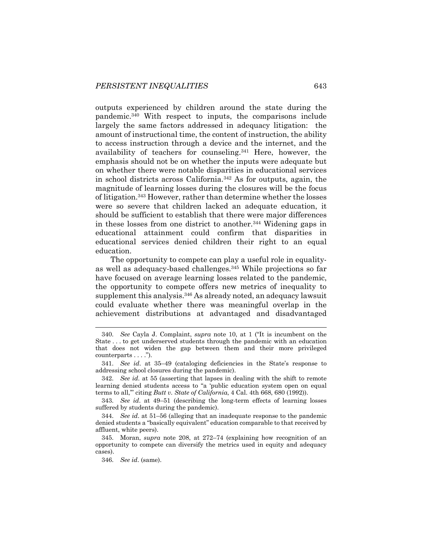outputs experienced by children around the state during the pandemic.340 With respect to inputs, the comparisons include largely the same factors addressed in adequacy litigation: the amount of instructional time, the content of instruction, the ability to access instruction through a device and the internet, and the availability of teachers for counseling.341 Here, however, the emphasis should not be on whether the inputs were adequate but on whether there were notable disparities in educational services in school districts across California.342 As for outputs, again, the magnitude of learning losses during the closures will be the focus of litigation.343 However, rather than determine whether the losses were so severe that children lacked an adequate education, it should be sufficient to establish that there were major differences in these losses from one district to another.344 Widening gaps in educational attainment could confirm that disparities in educational services denied children their right to an equal education.

The opportunity to compete can play a useful role in equalityas well as adequacy-based challenges.345 While projections so far have focused on average learning losses related to the pandemic, the opportunity to compete offers new metrics of inequality to supplement this analysis.<sup>346</sup> As already noted, an adequacy lawsuit could evaluate whether there was meaningful overlap in the achievement distributions at advantaged and disadvantaged

<sup>340.</sup> *See* Cayla J. Complaint, *supra* note 10, at 1 ("It is incumbent on the State . . . to get underserved students through the pandemic with an education that does not widen the gap between them and their more privileged counterparts . . . .").

<sup>341.</sup> *See id*. at 35–49 (cataloging deficiencies in the State's response to addressing school closures during the pandemic).

<sup>342.</sup> *See id*. at 55 (asserting that lapses in dealing with the shift to remote learning denied students access to "a 'public education system open on equal terms to all,'" citing *Butt v. State of California*, 4 Cal. 4th 668, 680 (1992)).

<sup>343.</sup> *See id*. at 49–51 (describing the long-term effects of learning losses suffered by students during the pandemic).

<sup>344.</sup> *See id*. at 51–56 (alleging that an inadequate response to the pandemic denied students a "basically equivalent" education comparable to that received by affluent, white peers).

<sup>345.</sup> Moran, *supra* note 208, at 272–74 (explaining how recognition of an opportunity to compete can diversify the metrics used in equity and adequacy cases).

<sup>346.</sup> *See id*. (same).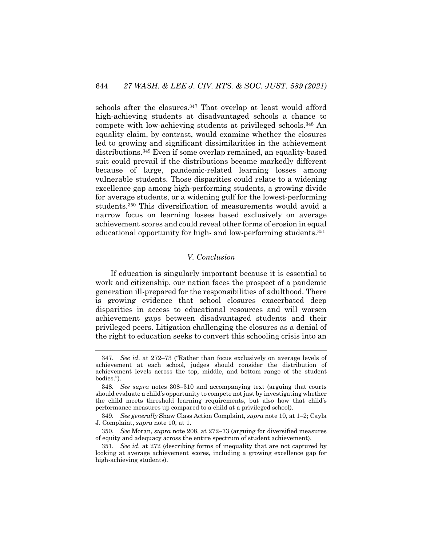schools after the closures.<sup>347</sup> That overlap at least would afford high-achieving students at disadvantaged schools a chance to compete with low-achieving students at privileged schools.348 An equality claim, by contrast, would examine whether the closures led to growing and significant dissimilarities in the achievement distributions.349 Even if some overlap remained, an equality-based suit could prevail if the distributions became markedly different because of large, pandemic-related learning losses among vulnerable students. Those disparities could relate to a widening excellence gap among high-performing students, a growing divide for average students, or a widening gulf for the lowest-performing students.350 This diversification of measurements would avoid a narrow focus on learning losses based exclusively on average achievement scores and could reveal other forms of erosion in equal educational opportunity for high- and low-performing students.351

#### *V. Conclusion*

If education is singularly important because it is essential to work and citizenship, our nation faces the prospect of a pandemic generation ill-prepared for the responsibilities of adulthood. There is growing evidence that school closures exacerbated deep disparities in access to educational resources and will worsen achievement gaps between disadvantaged students and their privileged peers. Litigation challenging the closures as a denial of the right to education seeks to convert this schooling crisis into an

<sup>347.</sup> *See id*. at 272–73 ("Rather than focus exclusively on average levels of achievement at each school, judges should consider the distribution of achievement levels across the top, middle, and bottom range of the student bodies.").

<sup>348.</sup> *See supra* notes 308–310 and accompanying text (arguing that courts should evaluate a child's opportunity to compete not just by investigating whether the child meets threshold learning requirements, but also how that child's performance measures up compared to a child at a privileged school).

<sup>349.</sup> *See generally* Shaw Class Action Complaint, *supra* note 10, at 1–2; Cayla J. Complaint, *supra* note 10, at 1.

<sup>350.</sup> *See* Moran, *supra* note 208, at 272–73 (arguing for diversified measures of equity and adequacy across the entire spectrum of student achievement).

<sup>351.</sup> *See id*. at 272 (describing forms of inequality that are not captured by looking at average achievement scores, including a growing excellence gap for high-achieving students).